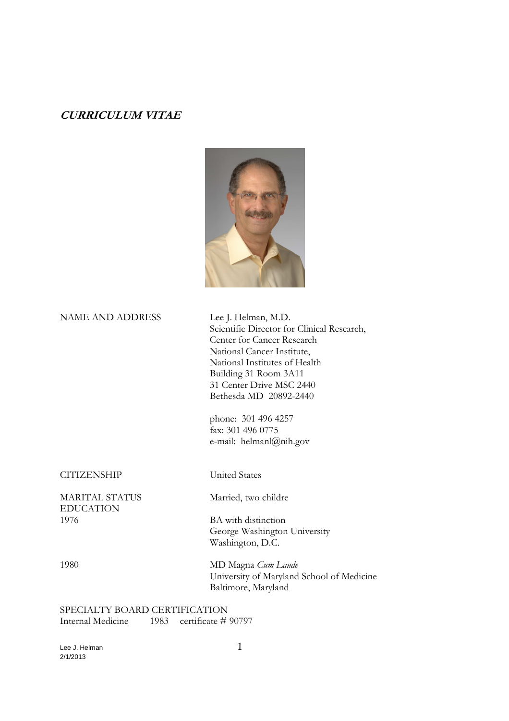# **CURRICULUM VITAE**



NAME AND ADDRESS Lee J. Helman, M.D.

 Scientific Director for Clinical Research, Center for Cancer Research National Cancer Institute, National Institutes of Health Building 31 Room 3A11 31 Center Drive MSC 2440 Bethesda MD 20892-2440

 phone: 301 496 4257 fax: 301 496 0775 e-mail: helmanl@nih.gov

### CITIZENSHIP United States

MARITAL STATUS Married, two childre EDUCATION<br>1976

BA with distinction George Washington University Washington, D.C.

1980 MD Magna *Cum Laude* University of Maryland School of Medicine Baltimore, Maryland

SPECIALTY BOARD CERTIFICATION<br>Internal Medicine 1983 certificate # 1983 certificate # 90797

Lee J. Helman 1 2/1/2013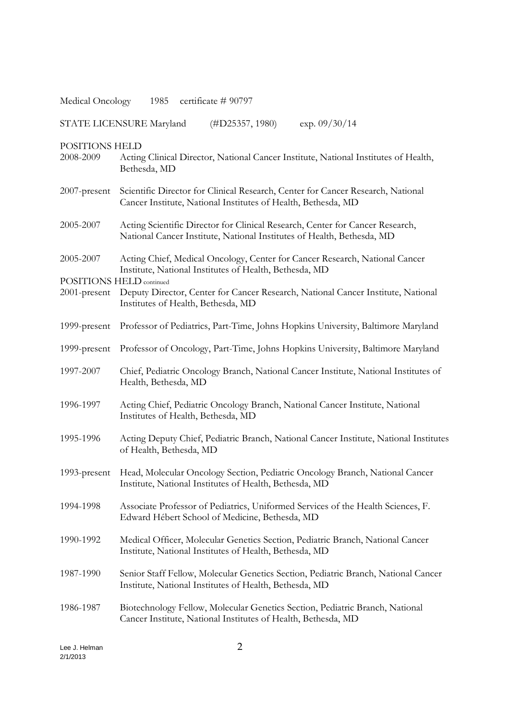| Medical Oncology 1985 certificate #90797                        |                                                                                                                                                         |  |
|-----------------------------------------------------------------|---------------------------------------------------------------------------------------------------------------------------------------------------------|--|
| STATE LICENSURE Maryland<br>(HD25357, 1980)<br>$\exp. 09/30/14$ |                                                                                                                                                         |  |
| POSITIONS HELD<br>2008-2009                                     | Acting Clinical Director, National Cancer Institute, National Institutes of Health,<br>Bethesda, MD                                                     |  |
| 2007-present                                                    | Scientific Director for Clinical Research, Center for Cancer Research, National<br>Cancer Institute, National Institutes of Health, Bethesda, MD        |  |
| 2005-2007                                                       | Acting Scientific Director for Clinical Research, Center for Cancer Research,<br>National Cancer Institute, National Institutes of Health, Bethesda, MD |  |
| 2005-2007                                                       | Acting Chief, Medical Oncology, Center for Cancer Research, National Cancer<br>Institute, National Institutes of Health, Bethesda, MD                   |  |
| POSITIONS HELD continued<br>$2001$ -present                     | Deputy Director, Center for Cancer Research, National Cancer Institute, National<br>Institutes of Health, Bethesda, MD                                  |  |
| 1999-present                                                    | Professor of Pediatrics, Part-Time, Johns Hopkins University, Baltimore Maryland                                                                        |  |
|                                                                 | 1999-present Professor of Oncology, Part-Time, Johns Hopkins University, Baltimore Maryland                                                             |  |
| 1997-2007                                                       | Chief, Pediatric Oncology Branch, National Cancer Institute, National Institutes of<br>Health, Bethesda, MD                                             |  |
| 1996-1997                                                       | Acting Chief, Pediatric Oncology Branch, National Cancer Institute, National<br>Institutes of Health, Bethesda, MD                                      |  |
| 1995-1996                                                       | Acting Deputy Chief, Pediatric Branch, National Cancer Institute, National Institutes<br>of Health, Bethesda, MD                                        |  |
| 1993-present                                                    | Head, Molecular Oncology Section, Pediatric Oncology Branch, National Cancer<br>Institute, National Institutes of Health, Bethesda, MD                  |  |
| 1994-1998                                                       | Associate Professor of Pediatrics, Uniformed Services of the Health Sciences, F.<br>Edward Hébert School of Medicine, Bethesda, MD                      |  |
| 1990-1992                                                       | Medical Officer, Molecular Genetics Section, Pediatric Branch, National Cancer<br>Institute, National Institutes of Health, Bethesda, MD                |  |
| 1987-1990                                                       | Senior Staff Fellow, Molecular Genetics Section, Pediatric Branch, National Cancer<br>Institute, National Institutes of Health, Bethesda, MD            |  |
| 1986-1987                                                       | Biotechnology Fellow, Molecular Genetics Section, Pediatric Branch, National<br>Cancer Institute, National Institutes of Health, Bethesda, MD           |  |

Lee J. Helman 2 2/1/2013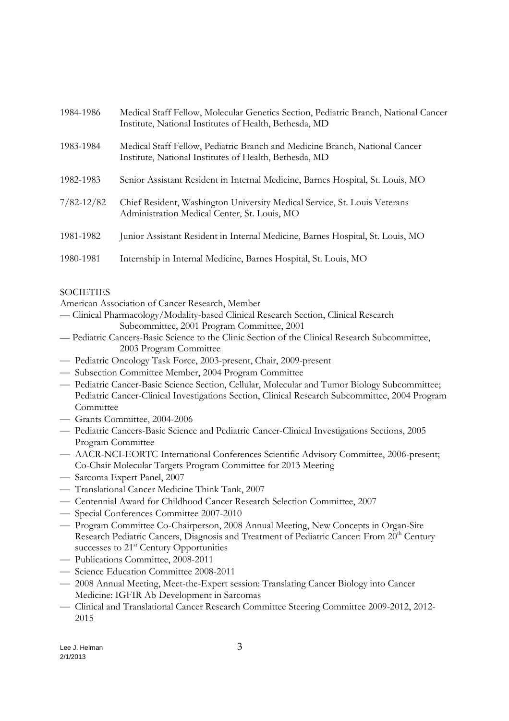| 1984-1986      | Medical Staff Fellow, Molecular Genetics Section, Pediatric Branch, National Cancer<br>Institute, National Institutes of Health, Bethesda, MD |
|----------------|-----------------------------------------------------------------------------------------------------------------------------------------------|
| 1983-1984      | Medical Staff Fellow, Pediatric Branch and Medicine Branch, National Cancer<br>Institute, National Institutes of Health, Bethesda, MD         |
| 1982-1983      | Senior Assistant Resident in Internal Medicine, Barnes Hospital, St. Louis, MO                                                                |
| $7/82 - 12/82$ | Chief Resident, Washington University Medical Service, St. Louis Veterans<br>Administration Medical Center, St. Louis, MO                     |
| 1981-1982      | Junior Assistant Resident in Internal Medicine, Barnes Hospital, St. Louis, MO                                                                |
| 1980-1981      | Internship in Internal Medicine, Barnes Hospital, St. Louis, MO                                                                               |

## **SOCIETIES**

American Association of Cancer Research, Member

— Clinical Pharmacology/Modality-based Clinical Research Section, Clinical Research Subcommittee, 2001 Program Committee, 2001

- Pediatric Cancers-Basic Science to the Clinic Section of the Clinical Research Subcommittee, 2003 Program Committee
- Pediatric Oncology Task Force, 2003-present, Chair, 2009-present
- Subsection Committee Member, 2004 Program Committee
- Pediatric Cancer-Basic Science Section, Cellular, Molecular and Tumor Biology Subcommittee; Pediatric Cancer-Clinical Investigations Section, Clinical Research Subcommittee, 2004 Program Committee
- Grants Committee, 2004-2006
- Pediatric Cancers-Basic Science and Pediatric Cancer-Clinical Investigations Sections, 2005 Program Committee
- AACR-NCI-EORTC International Conferences Scientific Advisory Committee, 2006-present; Co-Chair Molecular Targets Program Committee for 2013 Meeting
- Sarcoma Expert Panel, 2007
- Translational Cancer Medicine Think Tank, 2007
- Centennial Award for Childhood Cancer Research Selection Committee, 2007
- Special Conferences Committee 2007-2010
- Program Committee Co-Chairperson, 2008 Annual Meeting, New Concepts in Organ-Site Research Pediatric Cancers, Diagnosis and Treatment of Pediatric Cancer: From 20<sup>th</sup> Century successes to  $21<sup>st</sup>$  Century Opportunities
- Publications Committee, 2008-2011
- Science Education Committee 2008-2011
- 2008 Annual Meeting, Meet-the-Expert session: Translating Cancer Biology into Cancer Medicine: IGFIR Ab Development in Sarcomas
- Clinical and Translational Cancer Research Committee Steering Committee 2009-2012, 2012- 2015

Lee J. Helman 3 2/1/2013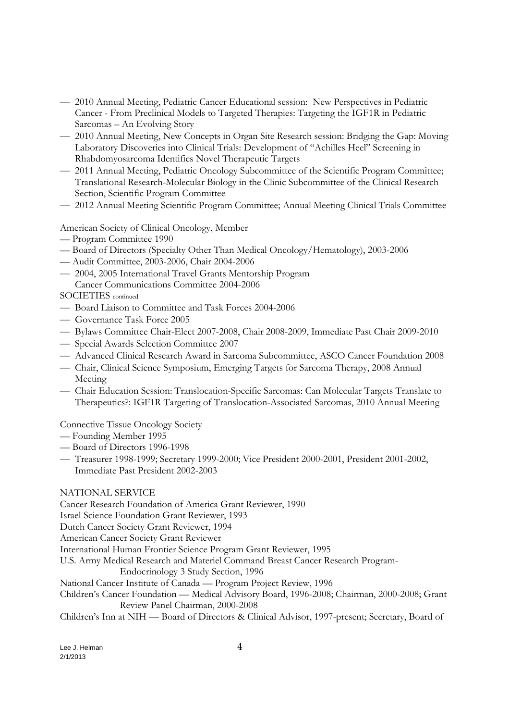- 2010 Annual Meeting, Pediatric Cancer Educational session: New Perspectives in Pediatric Cancer - From Preclinical Models to Targeted Therapies: Targeting the IGF1R in Pediatric Sarcomas – An Evolving Story
- 2010 Annual Meeting, New Concepts in Organ Site Research session: Bridging the Gap: Moving Laboratory Discoveries into Clinical Trials: Development of "Achilles Heel" Screening in Rhabdomyosarcoma Identifies Novel Therapeutic Targets
- 2011 Annual Meeting, Pediatric Oncology Subcommittee of the Scientific Program Committee; Translational Research-Molecular Biology in the Clinic Subcommittee of the Clinical Research Section, Scientific Program Committee
- 2012 Annual Meeting Scientific Program Committee; Annual Meeting Clinical Trials Committee

American Society of Clinical Oncology, Member

- Program Committee 1990
- Board of Directors (Specialty Other Than Medical Oncology/Hematology), 2003-2006
- Audit Committee, 2003-2006, Chair 2004-2006
- 2004, 2005 International Travel Grants Mentorship Program Cancer Communications Committee 2004-2006

SOCIETIES continued

- Board Liaison to Committee and Task Forces 2004-2006
- Governance Task Force 2005
- Bylaws Committee Chair-Elect 2007-2008, Chair 2008-2009, Immediate Past Chair 2009-2010
- Special Awards Selection Committee 2007
- Advanced Clinical Research Award in Sarcoma Subcommittee, ASCO Cancer Foundation 2008
- Chair, Clinical Science Symposium, Emerging Targets for Sarcoma Therapy, 2008 Annual Meeting
- Chair Education Session: Translocation-Specific Sarcomas: Can Molecular Targets Translate to Therapeutics?: IGF1R Targeting of Translocation-Associated Sarcomas, 2010 Annual Meeting

Connective Tissue Oncology Society

- Founding Member 1995
- Board of Directors 1996-1998
- Treasurer 1998-1999; Secretary 1999-2000; Vice President 2000-2001, President 2001-2002, Immediate Past President 2002-2003

# NATIONAL SERVICE

Cancer Research Foundation of America Grant Reviewer, 1990

Israel Science Foundation Grant Reviewer, 1993

Dutch Cancer Society Grant Reviewer, 1994

American Cancer Society Grant Reviewer

International Human Frontier Science Program Grant Reviewer, 1995

U.S. Army Medical Research and Materiel Command Breast Cancer Research Program-

Endocrinology 3 Study Section, 1996

National Cancer Institute of Canada — Program Project Review, 1996

Children's Cancer Foundation — Medical Advisory Board, 1996-2008; Chairman, 2000-2008; Grant Review Panel Chairman, 2000-2008

Children's Inn at NIH — Board of Directors & Clinical Advisor, 1997-present; Secretary, Board of

Lee J. Helman  $4$ 2/1/2013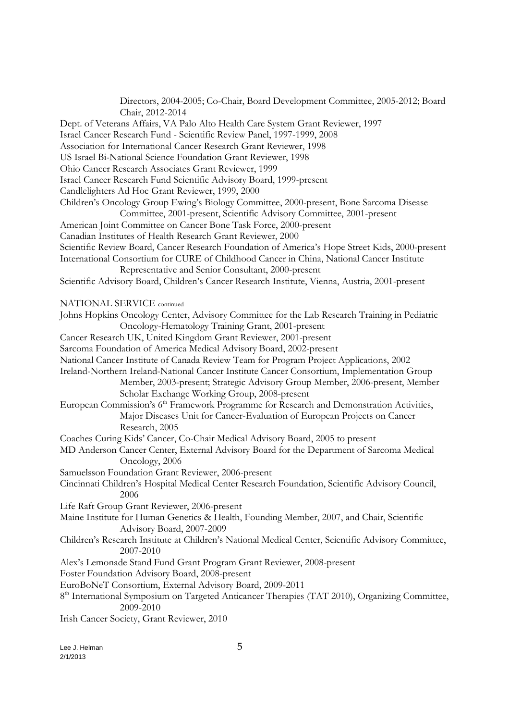Directors, 2004-2005; Co-Chair, Board Development Committee, 2005-2012; Board Chair, 2012-2014 Dept. of Veterans Affairs, VA Palo Alto Health Care System Grant Reviewer, 1997 Israel Cancer Research Fund - Scientific Review Panel, 1997-1999, 2008 Association for International Cancer Research Grant Reviewer, 1998 US Israel Bi-National Science Foundation Grant Reviewer, 1998 Ohio Cancer Research Associates Grant Reviewer, 1999 Israel Cancer Research Fund Scientific Advisory Board, 1999-present Candlelighters Ad Hoc Grant Reviewer, 1999, 2000 Children's Oncology Group Ewing's Biology Committee, 2000-present, Bone Sarcoma Disease Committee, 2001-present, Scientific Advisory Committee, 2001-present American Joint Committee on Cancer Bone Task Force, 2000-present Canadian Institutes of Health Research Grant Reviewer, 2000 Scientific Review Board, Cancer Research Foundation of America's Hope Street Kids, 2000-present International Consortium for CURE of Childhood Cancer in China, National Cancer Institute Representative and Senior Consultant, 2000-present Scientific Advisory Board, Children's Cancer Research Institute, Vienna, Austria, 2001-present NATIONAL SERVICE continued Johns Hopkins Oncology Center, Advisory Committee for the Lab Research Training in Pediatric Oncology-Hematology Training Grant, 2001-present Cancer Research UK, United Kingdom Grant Reviewer, 2001-present Sarcoma Foundation of America Medical Advisory Board, 2002-present National Cancer Institute of Canada Review Team for Program Project Applications, 2002 Ireland-Northern Ireland-National Cancer Institute Cancer Consortium, Implementation Group Member, 2003-present; Strategic Advisory Group Member, 2006-present, Member Scholar Exchange Working Group, 2008-present European Commission's  $6<sup>th</sup>$  Framework Programme for Research and Demonstration Activities, Major Diseases Unit for Cancer-Evaluation of European Projects on Cancer Research, 2005 Coaches Curing Kids' Cancer, Co-Chair Medical Advisory Board, 2005 to present MD Anderson Cancer Center, External Advisory Board for the Department of Sarcoma Medical Oncology, 2006 Samuelsson Foundation Grant Reviewer, 2006-present Cincinnati Children's Hospital Medical Center Research Foundation, Scientific Advisory Council, 2006 Life Raft Group Grant Reviewer, 2006-present Maine Institute for Human Genetics & Health, Founding Member, 2007, and Chair, Scientific Advisory Board, 2007-2009 Children's Research Institute at Children's National Medical Center, Scientific Advisory Committee, 2007-2010 Alex's Lemonade Stand Fund Grant Program Grant Reviewer, 2008-present Foster Foundation Advisory Board, 2008-present EuroBoNeT Consortium, External Advisory Board, 2009-2011 8<sup>th</sup> International Symposium on Targeted Anticancer Therapies (TAT 2010), Organizing Committee, 2009-2010 Irish Cancer Society, Grant Reviewer, 2010

Lee J. Helman 5 2/1/2013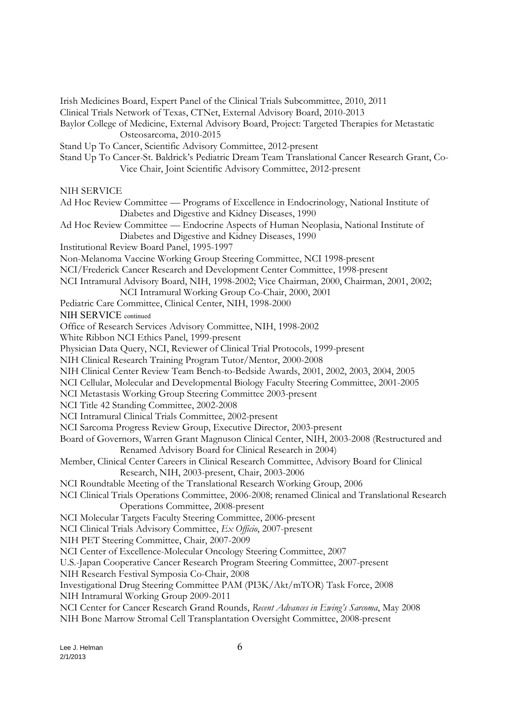Clinical Trials Network of Texas, CTNet, External Advisory Board, 2010-2013 Baylor College of Medicine, External Advisory Board, Project: Targeted Therapies for Metastatic Osteosarcoma, 2010-2015 Stand Up To Cancer, Scientific Advisory Committee, 2012-present Stand Up To Cancer-St. Baldrick's Pediatric Dream Team Translational Cancer Research Grant, Co-Vice Chair, Joint Scientific Advisory Committee, 2012-present NIH SERVICE Ad Hoc Review Committee — Programs of Excellence in Endocrinology, National Institute of Diabetes and Digestive and Kidney Diseases, 1990 Ad Hoc Review Committee — Endocrine Aspects of Human Neoplasia, National Institute of Diabetes and Digestive and Kidney Diseases, 1990 Institutional Review Board Panel, 1995-1997 Non-Melanoma Vaccine Working Group Steering Committee, NCI 1998-present NCI/Frederick Cancer Research and Development Center Committee, 1998-present NCI Intramural Advisory Board, NIH, 1998-2002; Vice Chairman, 2000, Chairman, 2001, 2002; NCI Intramural Working Group Co-Chair, 2000, 2001 Pediatric Care Committee, Clinical Center, NIH, 1998-2000 NIH SERVICE continued Office of Research Services Advisory Committee, NIH, 1998-2002 White Ribbon NCI Ethics Panel, 1999-present Physician Data Query, NCI, Reviewer of Clinical Trial Protocols, 1999-present NIH Clinical Research Training Program Tutor/Mentor, 2000-2008 NIH Clinical Center Review Team Bench-to-Bedside Awards, 2001, 2002, 2003, 2004, 2005 NCI Cellular, Molecular and Developmental Biology Faculty Steering Committee, 2001-2005 NCI Metastasis Working Group Steering Committee 2003-present NCI Title 42 Standing Committee, 2002-2008 NCI Intramural Clinical Trials Committee, 2002-present NCI Sarcoma Progress Review Group, Executive Director, 2003-present Board of Governors, Warren Grant Magnuson Clinical Center, NIH, 2003-2008 (Restructured and Renamed Advisory Board for Clinical Research in 2004) Member, Clinical Center Careers in Clinical Research Committee, Advisory Board for Clinical Research, NIH, 2003-present, Chair, 2003-2006 NCI Roundtable Meeting of the Translational Research Working Group, 2006 NCI Clinical Trials Operations Committee, 2006-2008; renamed Clinical and Translational Research Operations Committee, 2008-present NCI Molecular Targets Faculty Steering Committee, 2006-present NCI Clinical Trials Advisory Committee, *Ex Officio*, 2007-present NIH PET Steering Committee, Chair, 2007-2009 NCI Center of Excellence-Molecular Oncology Steering Committee, 2007 U.S.-Japan Cooperative Cancer Research Program Steering Committee, 2007-present NIH Research Festival Symposia Co-Chair, 2008 Investigational Drug Steering Committee PAM (PI3K/Akt/mTOR) Task Force, 2008 NIH Intramural Working Group 2009-2011 NCI Center for Cancer Research Grand Rounds, *Recent Advances in Ewing's Sarcoma*, May 2008 NIH Bone Marrow Stromal Cell Transplantation Oversight Committee, 2008-present

Irish Medicines Board, Expert Panel of the Clinical Trials Subcommittee, 2010, 2011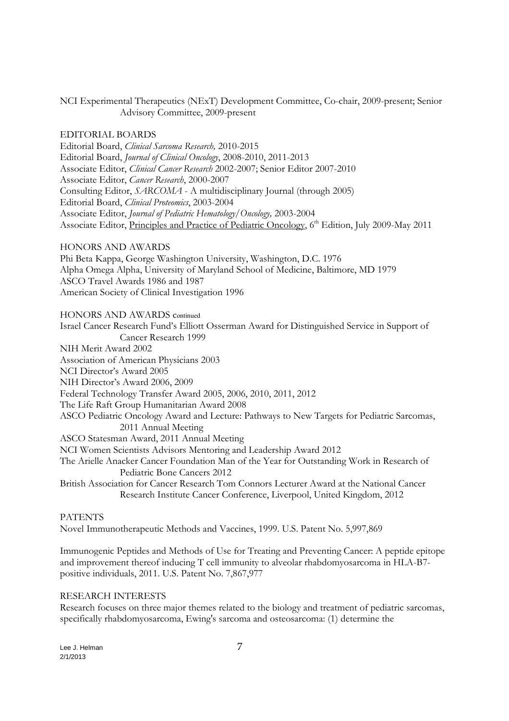NCI Experimental Therapeutics (NExT) Development Committee, Co-chair, 2009-present; Senior Advisory Committee, 2009-present

### EDITORIAL BOARDS

Editorial Board, *Clinical Sarcoma Research,* 2010-2015 Editorial Board, *Journal of Clinical Oncology*, 2008-2010, 2011-2013 Associate Editor, *Clinical Cancer Research* 2002-2007; Senior Editor 2007-2010 Associate Editor, *Cancer Research*, 2000-2007 Consulting Editor, *SARCOMA* - A multidisciplinary Journal (through 2005) Editorial Board, *Clinical Proteomics*, 2003-2004 Associate Editor, *Journal of Pediatric Hematology/Oncology,* 2003-2004 Associate Editor, Principles and Practice of Pediatric Oncology, 6<sup>th</sup> Edition, July 2009-May 2011

HONORS AND AWARDS Phi Beta Kappa, George Washington University, Washington, D.C. 1976 Alpha Omega Alpha, University of Maryland School of Medicine, Baltimore, MD 1979 ASCO Travel Awards 1986 and 1987 American Society of Clinical Investigation 1996

HONORS AND AWARDS continued

Israel Cancer Research Fund's Elliott Osserman Award for Distinguished Service in Support of Cancer Research 1999 NIH Merit Award 2002 Association of American Physicians 2003 NCI Director's Award 2005 NIH Director's Award 2006, 2009 Federal Technology Transfer Award 2005, 2006, 2010, 2011, 2012 The Life Raft Group Humanitarian Award 2008 ASCO Pediatric Oncology Award and Lecture: Pathways to New Targets for Pediatric Sarcomas, 2011 Annual Meeting ASCO Statesman Award, 2011 Annual Meeting NCI Women Scientists Advisors Mentoring and Leadership Award 2012 The Arielle Anacker Cancer Foundation Man of the Year for Outstanding Work in Research of Pediatric Bone Cancers 2012 British Association for Cancer Research Tom Connors Lecturer Award at the National Cancer Research Institute Cancer Conference, Liverpool, United Kingdom, 2012

#### PATENTS

Novel Immunotherapeutic Methods and Vaccines, 1999. U.S. Patent No. 5,997,869

Immunogenic Peptides and Methods of Use for Treating and Preventing Cancer: A peptide epitope and improvement thereof inducing T cell immunity to alveolar rhabdomyosarcoma in HLA-B7 positive individuals, 2011. U.S. Patent No. 7,867,977

#### RESEARCH INTERESTS

Research focuses on three major themes related to the biology and treatment of pediatric sarcomas, specifically rhabdomyosarcoma, Ewing's sarcoma and osteosarcoma: (1) determine the

Lee J. Helman 7 2/1/2013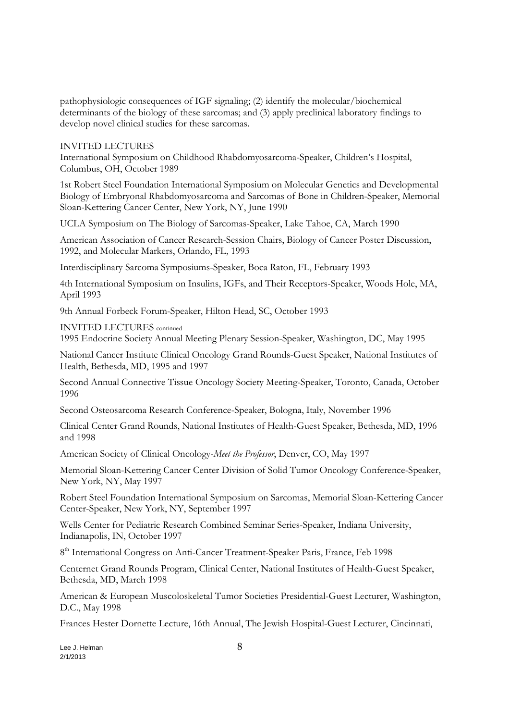pathophysiologic consequences of IGF signaling; (2) identify the molecular/biochemical determinants of the biology of these sarcomas; and (3) apply preclinical laboratory findings to develop novel clinical studies for these sarcomas.

INVITED LECTURES

International Symposium on Childhood Rhabdomyosarcoma-Speaker, Children's Hospital, Columbus, OH, October 1989

1st Robert Steel Foundation International Symposium on Molecular Genetics and Developmental Biology of Embryonal Rhabdomyosarcoma and Sarcomas of Bone in Children-Speaker, Memorial Sloan-Kettering Cancer Center, New York, NY, June 1990

UCLA Symposium on The Biology of Sarcomas-Speaker, Lake Tahoe, CA, March 1990

American Association of Cancer Research-Session Chairs, Biology of Cancer Poster Discussion, 1992, and Molecular Markers, Orlando, FL, 1993

Interdisciplinary Sarcoma Symposiums-Speaker, Boca Raton, FL, February 1993

4th International Symposium on Insulins, IGFs, and Their Receptors-Speaker, Woods Hole, MA, April 1993

9th Annual Forbeck Forum-Speaker, Hilton Head, SC, October 1993

INVITED LECTURES continued

1995 Endocrine Society Annual Meeting Plenary Session-Speaker, Washington, DC, May 1995

National Cancer Institute Clinical Oncology Grand Rounds-Guest Speaker, National Institutes of Health, Bethesda, MD, 1995 and 1997

Second Annual Connective Tissue Oncology Society Meeting-Speaker, Toronto, Canada, October 1996

Second Osteosarcoma Research Conference-Speaker, Bologna, Italy, November 1996

Clinical Center Grand Rounds, National Institutes of Health-Guest Speaker, Bethesda, MD, 1996 and 1998

American Society of Clinical Oncology-*Meet the Professor*, Denver, CO, May 1997

Memorial Sloan-Kettering Cancer Center Division of Solid Tumor Oncology Conference-Speaker, New York, NY, May 1997

Robert Steel Foundation International Symposium on Sarcomas, Memorial Sloan-Kettering Cancer Center-Speaker, New York, NY, September 1997

Wells Center for Pediatric Research Combined Seminar Series-Speaker, Indiana University, Indianapolis, IN, October 1997

8 th International Congress on Anti-Cancer Treatment-Speaker Paris, France, Feb 1998

Centernet Grand Rounds Program, Clinical Center, National Institutes of Health-Guest Speaker, Bethesda, MD, March 1998

American & European Muscoloskeletal Tumor Societies Presidential-Guest Lecturer, Washington, D.C., May 1998

Frances Hester Dornette Lecture, 16th Annual, The Jewish Hospital-Guest Lecturer, Cincinnati,

Lee J. Helman  $8$ 2/1/2013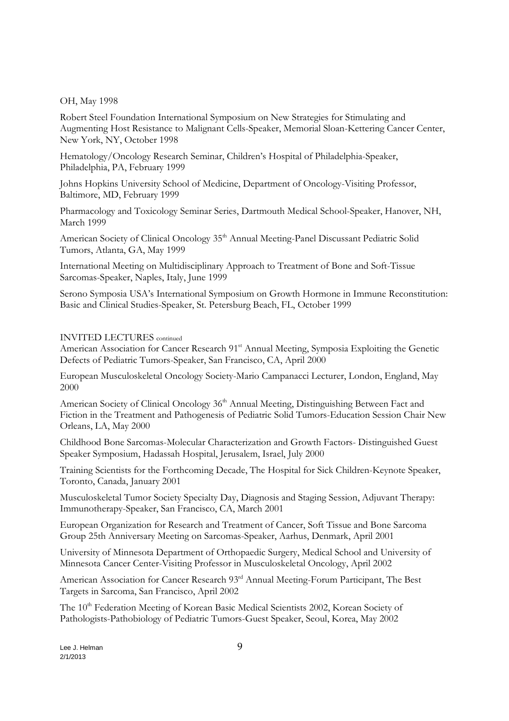OH, May 1998

Robert Steel Foundation International Symposium on New Strategies for Stimulating and Augmenting Host Resistance to Malignant Cells-Speaker, Memorial Sloan-Kettering Cancer Center, New York, NY, October 1998

Hematology/Oncology Research Seminar, Children's Hospital of Philadelphia-Speaker, Philadelphia, PA, February 1999

Johns Hopkins University School of Medicine, Department of Oncology-Visiting Professor, Baltimore, MD, February 1999

Pharmacology and Toxicology Seminar Series, Dartmouth Medical School-Speaker, Hanover, NH, March 1999

American Society of Clinical Oncology 35<sup>th</sup> Annual Meeting-Panel Discussant Pediatric Solid Tumors, Atlanta, GA, May 1999

International Meeting on Multidisciplinary Approach to Treatment of Bone and Soft-Tissue Sarcomas-Speaker, Naples, Italy, June 1999

Serono Symposia USA's International Symposium on Growth Hormone in Immune Reconstitution: Basic and Clinical Studies-Speaker, St. Petersburg Beach, FL, October 1999

#### INVITED LECTURES continued

American Association for Cancer Research 91st Annual Meeting, Symposia Exploiting the Genetic Defects of Pediatric Tumors-Speaker, San Francisco, CA, April 2000

European Musculoskeletal Oncology Society-Mario Campanacci Lecturer, London, England, May 2000

American Society of Clinical Oncology 36<sup>th</sup> Annual Meeting, Distinguishing Between Fact and Fiction in the Treatment and Pathogenesis of Pediatric Solid Tumors-Education Session Chair New Orleans, LA, May 2000

Childhood Bone Sarcomas-Molecular Characterization and Growth Factors- Distinguished Guest Speaker Symposium, Hadassah Hospital, Jerusalem, Israel, July 2000

Training Scientists for the Forthcoming Decade, The Hospital for Sick Children-Keynote Speaker, Toronto, Canada, January 2001

Musculoskeletal Tumor Society Specialty Day, Diagnosis and Staging Session, Adjuvant Therapy: Immunotherapy-Speaker, San Francisco, CA, March 2001

European Organization for Research and Treatment of Cancer, Soft Tissue and Bone Sarcoma Group 25th Anniversary Meeting on Sarcomas-Speaker, Aarhus, Denmark, April 2001

University of Minnesota Department of Orthopaedic Surgery, Medical School and University of Minnesota Cancer Center-Visiting Professor in Musculoskeletal Oncology, April 2002

American Association for Cancer Research 93rd Annual Meeting-Forum Participant, The Best Targets in Sarcoma, San Francisco, April 2002

The 10<sup>th</sup> Federation Meeting of Korean Basic Medical Scientists 2002, Korean Society of Pathologists-Pathobiology of Pediatric Tumors-Guest Speaker, Seoul, Korea, May 2002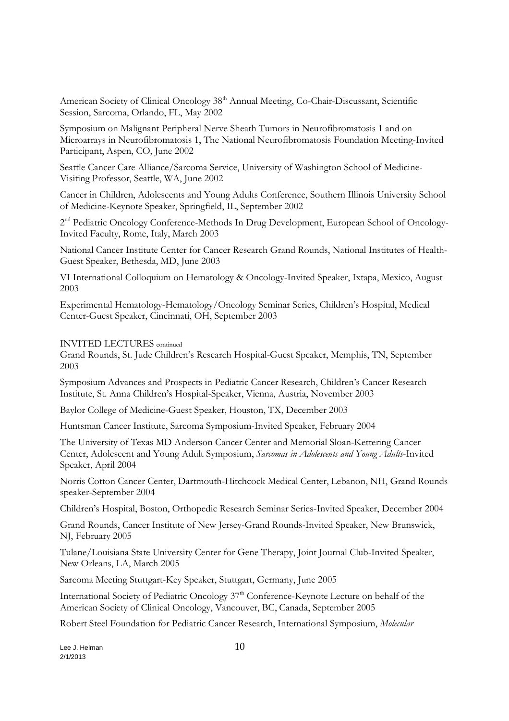American Society of Clinical Oncology 38<sup>th</sup> Annual Meeting, Co-Chair-Discussant, Scientific Session, Sarcoma, Orlando, FL, May 2002

Symposium on Malignant Peripheral Nerve Sheath Tumors in Neurofibromatosis 1 and on Microarrays in Neurofibromatosis 1, The National Neurofibromatosis Foundation Meeting-Invited Participant, Aspen, CO, June 2002

Seattle Cancer Care Alliance/Sarcoma Service, University of Washington School of Medicine-Visiting Professor, Seattle, WA, June 2002

Cancer in Children, Adolescents and Young Adults Conference, Southern Illinois University School of Medicine-Keynote Speaker, Springfield, IL, September 2002

2<sup>nd</sup> Pediatric Oncology Conference-Methods In Drug Development, European School of Oncology-Invited Faculty, Rome, Italy, March 2003

National Cancer Institute Center for Cancer Research Grand Rounds, National Institutes of Health-Guest Speaker, Bethesda, MD, June 2003

VI International Colloquium on Hematology & Oncology-Invited Speaker, Ixtapa, Mexico, August 2003

Experimental Hematology-Hematology/Oncology Seminar Series, Children's Hospital, Medical Center-Guest Speaker, Cincinnati, OH, September 2003

INVITED LECTURES continued

Grand Rounds, St. Jude Children's Research Hospital-Guest Speaker, Memphis, TN, September 2003

Symposium Advances and Prospects in Pediatric Cancer Research, Children's Cancer Research Institute, St. Anna Children's Hospital-Speaker, Vienna, Austria, November 2003

Baylor College of Medicine-Guest Speaker, Houston, TX, December 2003

Huntsman Cancer Institute, Sarcoma Symposium-Invited Speaker, February 2004

The University of Texas MD Anderson Cancer Center and Memorial Sloan-Kettering Cancer Center, Adolescent and Young Adult Symposium, *Sarcomas in Adolescents and Young Adults*-Invited Speaker, April 2004

Norris Cotton Cancer Center, Dartmouth-Hitchcock Medical Center, Lebanon, NH, Grand Rounds speaker-September 2004

Children's Hospital, Boston, Orthopedic Research Seminar Series-Invited Speaker, December 2004

Grand Rounds, Cancer Institute of New Jersey-Grand Rounds-Invited Speaker, New Brunswick, NJ, February 2005

Tulane/Louisiana State University Center for Gene Therapy, Joint Journal Club-Invited Speaker, New Orleans, LA, March 2005

Sarcoma Meeting Stuttgart-Key Speaker, Stuttgart, Germany, June 2005

International Society of Pediatric Oncology 37<sup>th</sup> Conference-Keynote Lecture on behalf of the American Society of Clinical Oncology, Vancouver, BC, Canada, September 2005

Robert Steel Foundation for Pediatric Cancer Research, International Symposium, *Molecular* 

Lee J. Helman  $10$ 2/1/2013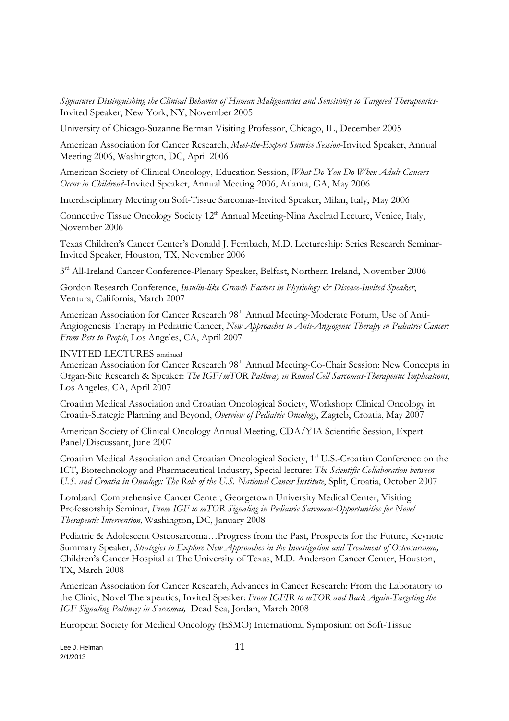*Signatures Distinguishing the Clinical Behavior of Human Malignancies and Sensitivity to Targeted Therapeutics*-Invited Speaker, New York, NY, November 2005

University of Chicago-Suzanne Berman Visiting Professor, Chicago, IL, December 2005

American Association for Cancer Research, *Meet-the-Expert Sunrise Session*-Invited Speaker, Annual Meeting 2006, Washington, DC, April 2006

American Society of Clinical Oncology, Education Session, *What Do You Do When Adult Cancers Occur in Children?*-Invited Speaker, Annual Meeting 2006, Atlanta, GA, May 2006

Interdisciplinary Meeting on Soft-Tissue Sarcomas-Invited Speaker, Milan, Italy, May 2006

Connective Tissue Oncology Society 12<sup>th</sup> Annual Meeting-Nina Axelrad Lecture, Venice, Italy, November 2006

Texas Children's Cancer Center's Donald J. Fernbach, M.D. Lectureship: Series Research Seminar-Invited Speaker, Houston, TX, November 2006

3<sup>rd</sup> All-Ireland Cancer Conference-Plenary Speaker, Belfast, Northern Ireland, November 2006

Gordon Research Conference, *Insulin-like Growth Factors in Physiology & Disease-Invited Speaker*, Ventura, California, March 2007

American Association for Cancer Research 98<sup>th</sup> Annual Meeting-Moderate Forum, Use of Anti-Angiogenesis Therapy in Pediatric Cancer, *New Approaches to Anti-Angiogenic Therapy in Pediatric Cancer: From Pets to People*, Los Angeles, CA, April 2007

## INVITED LECTURES continued

American Association for Cancer Research 98<sup>th</sup> Annual Meeting-Co-Chair Session: New Concepts in Organ-Site Research & Speaker: *The IGF/mTOR Pathway in Round Cell Sarcomas-Therapeutic Implications*, Los Angeles, CA, April 2007

Croatian Medical Association and Croatian Oncological Society, Workshop: Clinical Oncology in Croatia-Strategic Planning and Beyond, *Overview of Pediatric Oncology*, Zagreb, Croatia, May 2007

American Society of Clinical Oncology Annual Meeting, CDA/YIA Scientific Session, Expert Panel/Discussant, June 2007

Croatian Medical Association and Croatian Oncological Society, 1st U.S.-Croatian Conference on the ICT, Biotechnology and Pharmaceutical Industry, Special lecture: *The Scientific Collaboration between U.S. and Croatia in Oncology: The Role of the U.S. National Cancer Institute*, Split, Croatia, October 2007

Lombardi Comprehensive Cancer Center, Georgetown University Medical Center, Visiting Professorship Seminar, *From IGF to mTOR Signaling in Pediatric Sarcomas-Opportunities for Novel Therapeutic Intervention,* Washington, DC, January 2008

Pediatric & Adolescent Osteosarcoma…Progress from the Past, Prospects for the Future, Keynote Summary Speaker, *Strategies to Explore New Approaches in the Investigation and Treatment of Osteosarcoma,* Children's Cancer Hospital at The University of Texas, M.D. Anderson Cancer Center, Houston, TX, March 2008

American Association for Cancer Research, Advances in Cancer Research: From the Laboratory to the Clinic, Novel Therapeutics, Invited Speaker: *From IGFIR to mTOR and Back Again-Targeting the IGF Signaling Pathway in Sarcomas,* Dead Sea, Jordan, March 2008

European Society for Medical Oncology (ESMO) International Symposium on Soft-Tissue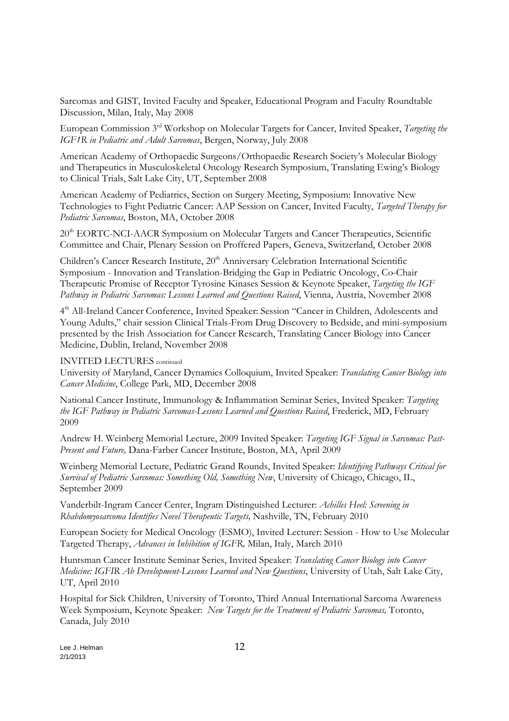Sarcomas and GIST, Invited Faculty and Speaker, Educational Program and Faculty Roundtable Discussion, Milan, Italy, May 2008

European Commission 3rd Workshop on Molecular Targets for Cancer, Invited Speaker, *Targeting the IGF1R in Pediatric and Adult Sarcomas*, Bergen, Norway, July 2008

American Academy of Orthopaedic Surgeons/Orthopaedic Research Society's Molecular Biology and Therapeutics in Musculoskeletal Oncology Research Symposium, Translating Ewing's Biology to Clinical Trials, Salt Lake City, UT, September 2008

American Academy of Pediatrics, Section on Surgery Meeting, Symposium: Innovative New Technologies to Fight Pediatric Cancer: AAP Session on Cancer, Invited Faculty, *Targeted Therapy for Pediatric Sarcomas*, Boston, MA, October 2008

20<sup>th</sup> EORTC-NCI-AACR Symposium on Molecular Targets and Cancer Therapeutics, Scientific Committee and Chair, Plenary Session on Proffered Papers, Geneva, Switzerland, October 2008

Children's Cancer Research Institute, 20<sup>th</sup> Anniversary Celebration International Scientific Symposium - Innovation and Translation-Bridging the Gap in Pediatric Oncology, Co-Chair Therapeutic Promise of Receptor Tyrosine Kinases Session & Keynote Speaker, *Targeting the IGF Pathway in Pediatric Sarcomas: Lessons Learned and Questions Raised*, Vienna, Austria, November 2008

4 th All-Ireland Cancer Conference, Invited Speaker: Session "Cancer in Children, Adolescents and Young Adults," chair session Clinical Trials-From Drug Discovery to Bedside, and mini-symposium presented by the Irish Association for Cancer Research, Translating Cancer Biology into Cancer Medicine, Dublin, Ireland, November 2008

INVITED LECTURES continued

University of Maryland, Cancer Dynamics Colloquium, Invited Speaker: *Translating Cancer Biology into Cancer Medicine*, College Park, MD, December 2008

National Cancer Institute, Immunology & Inflammation Seminar Series, Invited Speaker: *Targeting the IGF Pathway in Pediatric Sarcomas-Lessons Learned and Questions Raised*, Frederick, MD, February 2009

Andrew H. Weinberg Memorial Lecture, 2009 Invited Speaker: *Targeting IGF Signal in Sarcomas: Past-Present and Future,* Dana-Farber Cancer Institute, Boston, MA, April 2009

Weinberg Memorial Lecture, Pediatric Grand Rounds, Invited Speaker: *Identifying Pathways Critical for Survival of Pediatric Sarcomas: Something Old, Something New*, University of Chicago, Chicago, IL, September 2009

Vanderbilt-Ingram Cancer Center, Ingram Distinguished Lecturer: *Achilles Heel: Screening in Rhabdomyosarcoma Identifies Novel Therapeutic Targets,* Nashville, TN, February 2010

European Society for Medical Oncology (ESMO), Invited Lecturer: Session - How to Use Molecular Targeted Therapy, *Advances in Inhibition of IGFR,* Milan, Italy, March 2010

Huntsman Cancer Institute Seminar Series, Invited Speaker: *Translating Cancer Biology into Cancer Medicine: IGFIR Ab Development-Lessons Learned and New Questions*, University of Utah, Salt Lake City, UT, April 2010

Hospital for Sick Children, University of Toronto, Third Annual International Sarcoma Awareness Week Symposium, Keynote Speaker: *New Targets for the Treatment of Pediatric Sarcomas,* Toronto, Canada, July 2010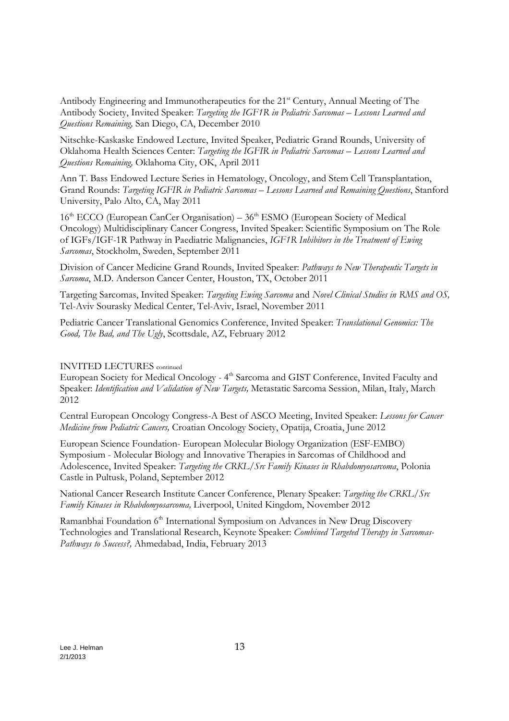Antibody Engineering and Immunotherapeutics for the 21<sup>st</sup> Century, Annual Meeting of The Antibody Society, Invited Speaker: *Targeting the IGF1R in Pediatric Sarcomas – Lessons Learned and Questions Remaining,* San Diego, CA, December 2010

Nitschke-Kaskaske Endowed Lecture, Invited Speaker, Pediatric Grand Rounds, University of Oklahoma Health Sciences Center: *Targeting the IGFIR in Pediatric Sarcomas – Lessons Learned and Questions Remaining,* Oklahoma City, OK, April 2011

Ann T. Bass Endowed Lecture Series in Hematology, Oncology, and Stem Cell Transplantation, Grand Rounds: *Targeting IGFIR in Pediatric Sarcomas – Lessons Learned and Remaining Questions*, Stanford University, Palo Alto, CA, May 2011

 $16<sup>th</sup> ECCO$  (European CanCer Organisation) –  $36<sup>th</sup>$  ESMO (European Society of Medical Oncology) Multidisciplinary Cancer Congress, Invited Speaker: Scientific Symposium on The Role of IGFs/IGF-1R Pathway in Paediatric Malignancies, *IGF1R Inhibitors in the Treatment of Ewing Sarcomas*, Stockholm, Sweden, September 2011

Division of Cancer Medicine Grand Rounds, Invited Speaker: *Pathways to New Therapeutic Targets in Sarcoma*, M.D. Anderson Cancer Center, Houston, TX, October 2011

Targeting Sarcomas, Invited Speaker: *Targeting Ewing Sarcoma* and *Novel Clinical Studies in RMS and OS,*  Tel-Aviv Sourasky Medical Center, Tel-Aviv, Israel, November 2011

Pediatric Cancer Translational Genomics Conference, Invited Speaker: *Translational Genomics: The Good, The Bad, and The Ugly*, Scottsdale, AZ, February 2012

### INVITED LECTURES continued

European Society for Medical Oncology - 4<sup>th</sup> Sarcoma and GIST Conference, Invited Faculty and Speaker: *Identification and Validation of New Targets,* Metastatic Sarcoma Session, Milan, Italy, March 2012

Central European Oncology Congress-A Best of ASCO Meeting, Invited Speaker: *Lessons for Cancer Medicine from Pediatric Cancers,* Croatian Oncology Society, Opatija, Croatia, June 2012

European Science Foundation- European Molecular Biology Organization (ESF-EMBO) Symposium - Molecular Biology and Innovative Therapies in Sarcomas of Childhood and Adolescence, Invited Speaker: *Targeting the CRKL/Src Family Kinases in Rhabdomyosarcoma*, Polonia Castle in Pultusk, Poland, September 2012

National Cancer Research Institute Cancer Conference, Plenary Speaker: *Targeting the CRKL/Src Family Kinases in Rhabdomyosarcoma,* Liverpool, United Kingdom, November 2012

Ramanbhai Foundation 6<sup>th</sup> International Symposium on Advances in New Drug Discovery Technologies and Translational Research, Keynote Speaker: *Combined Targeted Therapy in Sarcomas-Pathways to Success?,* Ahmedabad, India, February 2013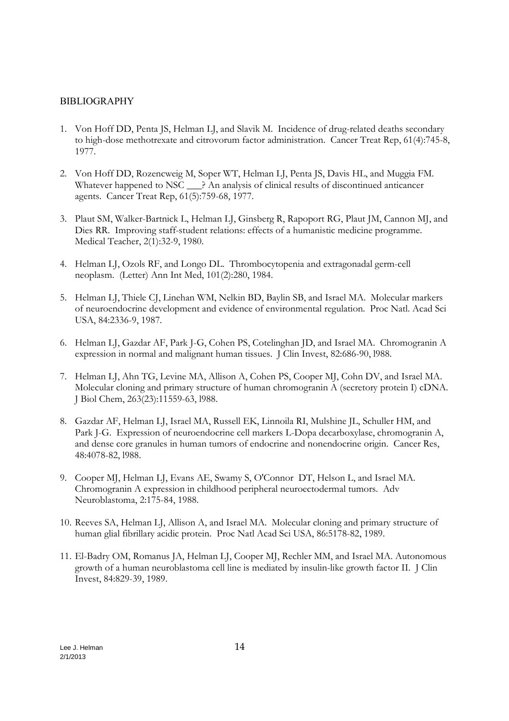## BIBLIOGRAPHY

- 1. Von Hoff DD, Penta JS, Helman LJ, and Slavik M. Incidence of drug-related deaths secondary to high-dose methotrexate and citrovorum factor administration. Cancer Treat Rep, 61(4):745-8, 1977.
- 2. Von Hoff DD, Rozencweig M, Soper WT, Helman LJ, Penta JS, Davis HL, and Muggia FM. Whatever happened to NSC  $\rightarrow$  An analysis of clinical results of discontinued anticancer agents. Cancer Treat Rep, 61(5):759-68, 1977.
- 3. Plaut SM, Walker-Bartnick L, Helman LJ, Ginsberg R, Rapoport RG, Plaut JM, Cannon MJ, and Dies RR. Improving staff-student relations: effects of a humanistic medicine programme. Medical Teacher, 2(1):32-9, 1980.
- 4. Helman LJ, Ozols RF, and Longo DL. Thrombocytopenia and extragonadal germ-cell neoplasm. (Letter) Ann Int Med, 101(2):280, 1984.
- 5. Helman LJ, Thiele CJ, Linehan WM, Nelkin BD, Baylin SB, and Israel MA. Molecular markers of neuroendocrine development and evidence of environmental regulation. Proc Natl. Acad Sci USA, 84:2336-9, 1987.
- 6. Helman LJ, Gazdar AF, Park J-G, Cohen PS, Cotelinghan JD, and Israel MA. Chromogranin A expression in normal and malignant human tissues. J Clin Invest, 82:686-90, l988.
- 7. Helman LJ, Ahn TG, Levine MA, Allison A, Cohen PS, Cooper MJ, Cohn DV, and Israel MA. Molecular cloning and primary structure of human chromogranin A (secretory protein I) cDNA. J Biol Chem, 263(23):11559-63, l988.
- 8. Gazdar AF, Helman LJ, Israel MA, Russell EK, Linnoila RI, Mulshine JL, Schuller HM, and Park J-G. Expression of neuroendocrine cell markers L-Dopa decarboxylase, chromogranin A, and dense core granules in human tumors of endocrine and nonendocrine origin. Cancer Res, 48:4078-82, l988.
- 9. Cooper MJ, Helman LJ, Evans AE, Swamy S, O'Connor DT, Helson L, and Israel MA. Chromogranin A expression in childhood peripheral neuroectodermal tumors. Adv Neuroblastoma, 2:175-84, 1988.
- 10. Reeves SA, Helman LJ, Allison A, and Israel MA. Molecular cloning and primary structure of human glial fibrillary acidic protein. Proc Natl Acad Sci USA, 86:5178-82, 1989.
- 11. El-Badry OM, Romanus JA, Helman LJ, Cooper MJ, Rechler MM, and Israel MA. Autonomous growth of a human neuroblastoma cell line is mediated by insulin-like growth factor II. J Clin Invest, 84:829-39, 1989.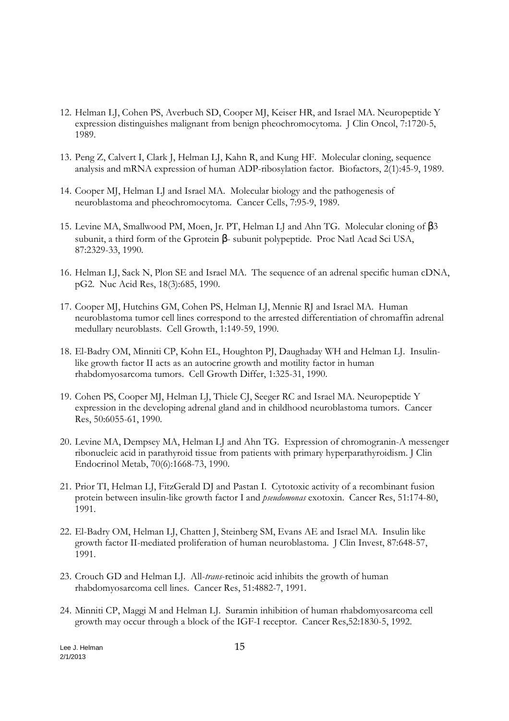- 12. Helman LJ, Cohen PS, Averbuch SD, Cooper MJ, Keiser HR, and Israel MA. Neuropeptide Y expression distinguishes malignant from benign pheochromocytoma. J Clin Oncol, 7:1720-5, 1989.
- 13. Peng Z, Calvert I, Clark J, Helman LJ, Kahn R, and Kung HF. Molecular cloning, sequence analysis and mRNA expression of human ADP-ribosylation factor. Biofactors, 2(1):45-9, 1989.
- 14. Cooper MJ, Helman LJ and Israel MA. Molecular biology and the pathogenesis of neuroblastoma and pheochromocytoma. Cancer Cells, 7:95-9, 1989.
- 15. Levine MA, Smallwood PM, Moen, Jr. PT, Helman LJ and Ahn TG. Molecular cloning of β3 subunit, a third form of the Gprotein β- subunit polypeptide. Proc Natl Acad Sci USA, 87:2329-33, 1990.
- 16. Helman LJ, Sack N, Plon SE and Israel MA. The sequence of an adrenal specific human cDNA, pG2. Nuc Acid Res, 18(3):685, 1990.
- 17. Cooper MJ, Hutchins GM, Cohen PS, Helman LJ, Mennie RJ and Israel MA. Human neuroblastoma tumor cell lines correspond to the arrested differentiation of chromaffin adrenal medullary neuroblasts. Cell Growth, 1:149-59, 1990.
- 18. El-Badry OM, Minniti CP, Kohn EL, Houghton PJ, Daughaday WH and Helman LJ. Insulinlike growth factor II acts as an autocrine growth and motility factor in human rhabdomyosarcoma tumors. Cell Growth Differ, 1:325-31, 1990.
- 19. Cohen PS, Cooper MJ, Helman LJ, Thiele CJ, Seeger RC and Israel MA. Neuropeptide Y expression in the developing adrenal gland and in childhood neuroblastoma tumors. Cancer Res, 50:6055-61, 1990.
- 20. Levine MA, Dempsey MA, Helman LJ and Ahn TG. Expression of chromogranin-A messenger ribonucleic acid in parathyroid tissue from patients with primary hyperparathyroidism. J Clin Endocrinol Metab, 70(6):1668-73, 1990.
- 21. Prior TI, Helman LJ, FitzGerald DJ and Pastan I. Cytotoxic activity of a recombinant fusion protein between insulin-like growth factor I and *pseudomonas* exotoxin. Cancer Res, 51:174-80, 1991.
- 22. El-Badry OM, Helman LJ, Chatten J, Steinberg SM, Evans AE and Israel MA. Insulin like growth factor II-mediated proliferation of human neuroblastoma. J Clin Invest, 87:648-57, 1991.
- 23. Crouch GD and Helman LJ. All-*trans*-retinoic acid inhibits the growth of human rhabdomyosarcoma cell lines. Cancer Res, 51:4882-7, 1991.
- 24. Minniti CP, Maggi M and Helman LJ. Suramin inhibition of human rhabdomyosarcoma cell growth may occur through a block of the IGF-I receptor. Cancer Res,52:1830-5, 1992.

Lee J. Helman 15 2/1/2013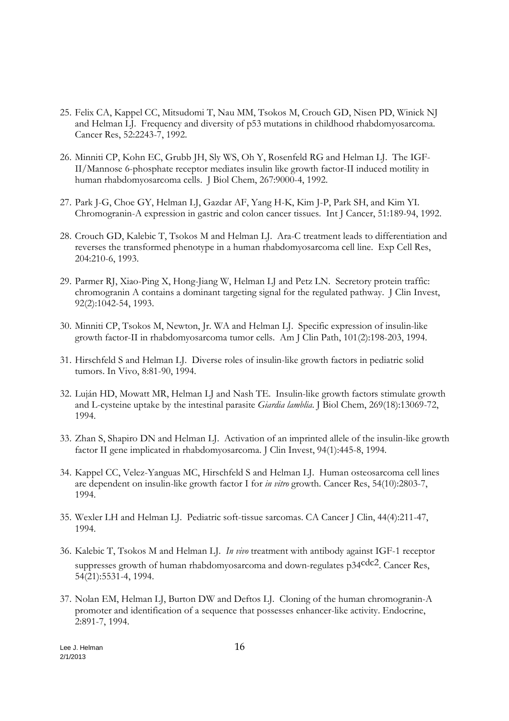- 25. Felix CA, Kappel CC, Mitsudomi T, Nau MM, Tsokos M, Crouch GD, Nisen PD, Winick NJ and Helman LJ. Frequency and diversity of p53 mutations in childhood rhabdomyosarcoma. Cancer Res, 52:2243-7, 1992.
- 26. Minniti CP, Kohn EC, Grubb JH, Sly WS, Oh Y, Rosenfeld RG and Helman LJ. The IGF-II/Mannose 6-phosphate receptor mediates insulin like growth factor-II induced motility in human rhabdomyosarcoma cells. J Biol Chem, 267:9000-4, 1992.
- 27. Park J-G, Choe GY, Helman LJ, Gazdar AF, Yang H-K, Kim J-P, Park SH, and Kim YI. Chromogranin-A expression in gastric and colon cancer tissues. Int J Cancer, 51:189-94, 1992.
- 28. Crouch GD, Kalebic T, Tsokos M and Helman LJ. Ara-C treatment leads to differentiation and reverses the transformed phenotype in a human rhabdomyosarcoma cell line. Exp Cell Res, 204:210-6, 1993.
- 29. Parmer RJ, Xiao-Ping X, Hong-Jiang W, Helman LJ and Petz LN. Secretory protein traffic: chromogranin A contains a dominant targeting signal for the regulated pathway. J Clin Invest, 92(2):1042-54, 1993.
- 30. Minniti CP, Tsokos M, Newton, Jr. WA and Helman LJ. Specific expression of insulin-like growth factor-II in rhabdomyosarcoma tumor cells. Am J Clin Path, 101(2):198-203, 1994.
- 31. Hirschfeld S and Helman LJ. Diverse roles of insulin-like growth factors in pediatric solid tumors. In Vivo, 8:81-90, 1994.
- 32. Luján HD, Mowatt MR, Helman LJ and Nash TE. Insulin-like growth factors stimulate growth and L-cysteine uptake by the intestinal parasite *Giardia lamblia*. J Biol Chem, 269(18):13069-72, 1994.
- 33. Zhan S, Shapiro DN and Helman LJ. Activation of an imprinted allele of the insulin-like growth factor II gene implicated in rhabdomyosarcoma. J Clin Invest, 94(1):445-8, 1994.
- 34. Kappel CC, Velez-Yanguas MC, Hirschfeld S and Helman LJ. Human osteosarcoma cell lines are dependent on insulin-like growth factor I for *in vitro* growth. Cancer Res, 54(10):2803-7, 1994.
- 35. Wexler LH and Helman LJ. Pediatric soft-tissue sarcomas. CA Cancer J Clin, 44(4):211-47, 1994.
- 36. Kalebic T, Tsokos M and Helman LJ. *In vivo* treatment with antibody against IGF-1 receptor suppresses growth of human rhabdomyosarcoma and down-regulates p34cdc2. Cancer Res, 54(21):5531-4, 1994.
- 37. Nolan EM, Helman LJ, Burton DW and Deftos LJ. Cloning of the human chromogranin-A promoter and identification of a sequence that possesses enhancer-like activity. Endocrine, 2:891-7, 1994.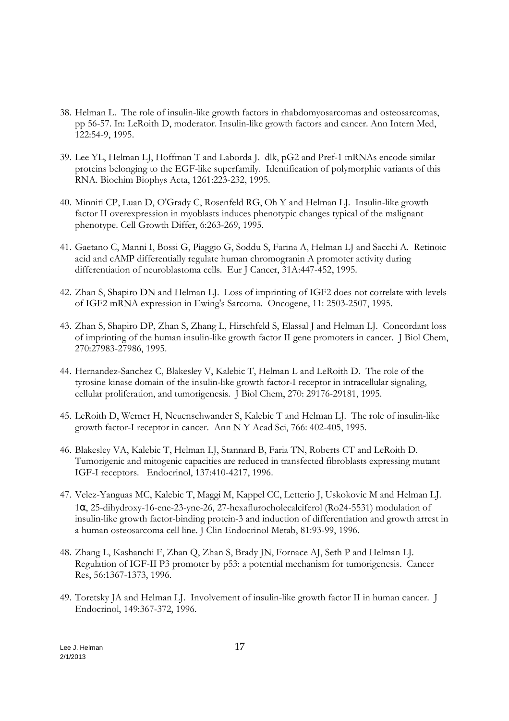- 38. Helman L. The role of insulin-like growth factors in rhabdomyosarcomas and osteosarcomas, pp 56-57. In: LeRoith D, moderator. Insulin-like growth factors and cancer. Ann Intern Med, 122:54-9, 1995.
- 39. Lee YL, Helman LJ, Hoffman T and Laborda J. dlk, pG2 and Pref-1 mRNAs encode similar proteins belonging to the EGF-like superfamily. Identification of polymorphic variants of this RNA. Biochim Biophys Acta, 1261:223-232, 1995.
- 40. Minniti CP, Luan D, O'Grady C, Rosenfeld RG, Oh Y and Helman LJ. Insulin-like growth factor II overexpression in myoblasts induces phenotypic changes typical of the malignant phenotype. Cell Growth Differ, 6:263-269, 1995.
- 41. Gaetano C, Manni I, Bossi G, Piaggio G, Soddu S, Farina A, Helman LJ and Sacchi A. Retinoic acid and cAMP differentially regulate human chromogranin A promoter activity during differentiation of neuroblastoma cells. Eur J Cancer, 31A:447-452, 1995.
- 42. Zhan S, Shapiro DN and Helman LJ. Loss of imprinting of IGF2 does not correlate with levels of IGF2 mRNA expression in Ewing's Sarcoma. Oncogene, 11: 2503-2507, 1995.
- 43. Zhan S, Shapiro DP, Zhan S, Zhang L, Hirschfeld S, Elassal J and Helman LJ. Concordant loss of imprinting of the human insulin-like growth factor II gene promoters in cancer. J Biol Chem, 270:27983-27986, 1995.
- 44. Hernandez-Sanchez C, Blakesley V, Kalebic T, Helman L and LeRoith D. The role of the tyrosine kinase domain of the insulin-like growth factor-I receptor in intracellular signaling, cellular proliferation, and tumorigenesis. J Biol Chem, 270: 29176-29181, 1995.
- 45. LeRoith D, Werner H, Neuenschwander S, Kalebic T and Helman LJ. The role of insulin-like growth factor-I receptor in cancer. Ann N Y Acad Sci, 766: 402-405, 1995.
- 46. Blakesley VA, Kalebic T, Helman LJ, Stannard B, Faria TN, Roberts CT and LeRoith D. Tumorigenic and mitogenic capacities are reduced in transfected fibroblasts expressing mutant IGF-I receptors. Endocrinol, 137:410-4217, 1996.
- 47. Velez-Yanguas MC, Kalebic T, Maggi M, Kappel CC, Letterio J, Uskokovic M and Helman LJ. 1α, 25-dihydroxy-16-ene-23-yne-26, 27-hexaflurocholecalciferol (Ro24-5531) modulation of insulin-like growth factor-binding protein-3 and induction of differentiation and growth arrest in a human osteosarcoma cell line. J Clin Endocrinol Metab, 81:93-99, 1996.
- 48. Zhang L, Kashanchi F, Zhan Q, Zhan S, Brady JN, Fornace AJ, Seth P and Helman LJ. Regulation of IGF-II P3 promoter by p53: a potential mechanism for tumorigenesis. Cancer Res, 56:1367-1373, 1996.
- 49. Toretsky JA and Helman LJ. Involvement of insulin-like growth factor II in human cancer. J Endocrinol, 149:367-372, 1996.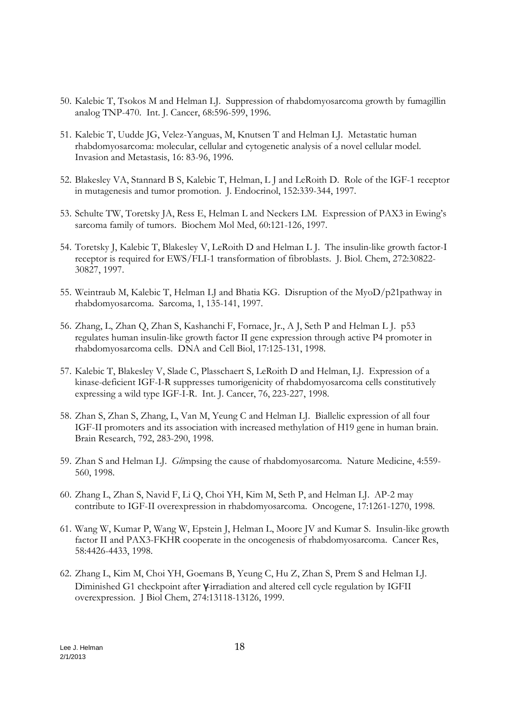- 50. Kalebic T, Tsokos M and Helman LJ. Suppression of rhabdomyosarcoma growth by fumagillin analog TNP-470. Int. J. Cancer, 68:596-599, 1996.
- 51. Kalebic T, Uudde JG, Velez-Yanguas, M, Knutsen T and Helman LJ. Metastatic human rhabdomyosarcoma: molecular, cellular and cytogenetic analysis of a novel cellular model. Invasion and Metastasis, 16: 83-96, 1996.
- 52. Blakesley VA, Stannard B S, Kalebic T, Helman, L J and LeRoith D. Role of the IGF-1 receptor in mutagenesis and tumor promotion. J. Endocrinol, 152:339-344, 1997.
- 53. Schulte TW, Toretsky JA, Ress E, Helman L and Neckers LM. Expression of PAX3 in Ewing's sarcoma family of tumors. Biochem Mol Med, 60:121-126, 1997.
- 54. Toretsky J, Kalebic T, Blakesley V, LeRoith D and Helman L J. The insulin-like growth factor-I receptor is required for EWS/FLI-1 transformation of fibroblasts. J. Biol. Chem, 272:30822- 30827, 1997.
- 55. Weintraub M, Kalebic T, Helman LJ and Bhatia KG. Disruption of the MyoD/p21pathway in rhabdomyosarcoma. Sarcoma, 1, 135-141, 1997.
- 56. Zhang, L, Zhan Q, Zhan S, Kashanchi F, Fornace, Jr., A J, Seth P and Helman L J. p53 regulates human insulin-like growth factor II gene expression through active P4 promoter in rhabdomyosarcoma cells. DNA and Cell Biol, 17:125-131, 1998.
- 57. Kalebic T, Blakesley V, Slade C, Plasschaert S, LeRoith D and Helman, LJ. Expression of a kinase-deficient IGF-I-R suppresses tumorigenicity of rhabdomyosarcoma cells constitutively expressing a wild type IGF-I-R. Int. J. Cancer, 76, 223-227, 1998.
- 58. Zhan S, Zhan S, Zhang, L, Van M, Yeung C and Helman LJ. Biallelic expression of all four IGF-II promoters and its association with increased methylation of H19 gene in human brain. Brain Research, 792, 283-290, 1998.
- 59. Zhan S and Helman LJ. *Gli*mpsing the cause of rhabdomyosarcoma. Nature Medicine, 4:559- 560, 1998.
- 60. Zhang L, Zhan S, Navid F, Li Q, Choi YH, Kim M, Seth P, and Helman LJ. AP-2 may contribute to IGF-II overexpression in rhabdomyosarcoma. Oncogene, 17:1261-1270, 1998.
- 61. Wang W, Kumar P, Wang W, Epstein J, Helman L, Moore JV and Kumar S. Insulin-like growth factor II and PAX3-FKHR cooperate in the oncogenesis of rhabdomyosarcoma. Cancer Res, 58:4426-4433, 1998.
- 62. Zhang L, Kim M, Choi YH, Goemans B, Yeung C, Hu Z, Zhan S, Prem S and Helman LJ. Diminished G1 checkpoint after γ-irradiation and altered cell cycle regulation by IGFII overexpression. J Biol Chem, 274:13118-13126, 1999.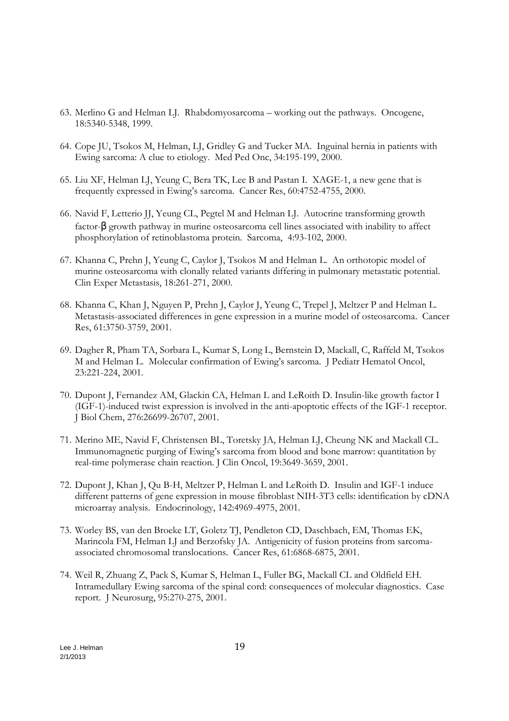- 63. Merlino G and Helman LJ. Rhabdomyosarcoma working out the pathways. Oncogene, 18:5340-5348, 1999.
- 64. Cope JU, Tsokos M, Helman, LJ, Gridley G and Tucker MA. Inguinal hernia in patients with Ewing sarcoma: A clue to etiology. Med Ped Onc, 34:195-199, 2000.
- 65. Liu XF, Helman LJ, Yeung C, Bera TK, Lee B and Pastan I. XAGE-1, a new gene that is frequently expressed in Ewing's sarcoma. Cancer Res, 60:4752-4755, 2000.
- 66. Navid F, Letterio JJ, Yeung CL, Pegtel M and Helman LJ. Autocrine transforming growth factor- $\beta$  growth pathway in murine osteosarcoma cell lines associated with inability to affect phosphorylation of retinoblastoma protein. Sarcoma, 4:93-102, 2000.
- 67. Khanna C, Prehn J, Yeung C, Caylor J, Tsokos M and Helman L. An orthotopic model of murine osteosarcoma with clonally related variants differing in pulmonary metastatic potential. Clin Exper Metastasis, 18:261-271, 2000.
- 68. Khanna C, Khan J, Nguyen P, Prehn J, Caylor J, Yeung C, Trepel J, Meltzer P and Helman L. Metastasis-associated differences in gene expression in a murine model of osteosarcoma. Cancer Res, 61:3750-3759, 2001.
- 69. Dagher R, Pham TA, Sorbara L, Kumar S, Long L, Bernstein D, Mackall, C, Raffeld M, Tsokos M and Helman L. Molecular confirmation of Ewing's sarcoma. J Pediatr Hematol Oncol, 23:221-224, 2001.
- 70. Dupont J, Fernandez AM, Glackin CA, Helman L and LeRoith D. Insulin-like growth factor I (IGF-1)-induced twist expression is involved in the anti-apoptotic effects of the IGF-1 receptor. J Biol Chem, 276:26699-26707, 2001.
- 71. Merino ME, Navid F, Christensen BL, Toretsky JA, Helman LJ, Cheung NK and Mackall CL. Immunomagnetic purging of Ewing's sarcoma from blood and bone marrow: quantitation by real-time polymerase chain reaction. J Clin Oncol, 19:3649-3659, 2001.
- 72. Dupont J, Khan J, Qu B-H, Meltzer P, Helman L and LeRoith D. Insulin and IGF-1 induce different patterns of gene expression in mouse fibroblast NIH-3T3 cells: identification by cDNA microarray analysis. Endocrinology, 142:4969-4975, 2001.
- 73. Worley BS, van den Broeke LT, Goletz TJ, Pendleton CD, Daschbach, EM, Thomas EK, Marincola FM, Helman LJ and Berzofsky JA. Antigenicity of fusion proteins from sarcomaassociated chromosomal translocations. Cancer Res, 61:6868-6875, 2001.
- 74. Weil R, Zhuang Z, Pack S, Kumar S, Helman L, Fuller BG, Mackall CL and Oldfield EH. Intramedullary Ewing sarcoma of the spinal cord: consequences of molecular diagnostics. Case report. J Neurosurg, 95:270-275, 2001.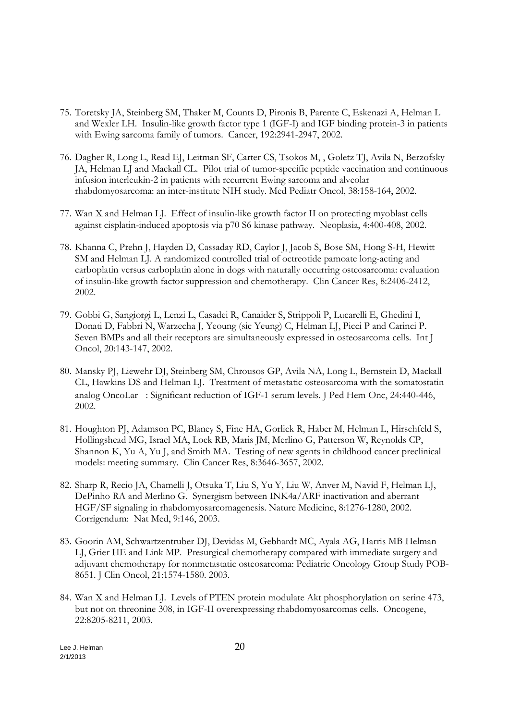- 75. Toretsky JA, Steinberg SM, Thaker M, Counts D, Pironis B, Parente C, Eskenazi A, Helman L and Wexler LH. Insulin-like growth factor type 1 (IGF-I) and IGF binding protein-3 in patients with Ewing sarcoma family of tumors. Cancer, 192:2941-2947, 2002.
- 76. Dagher R, Long L, Read EJ, Leitman SF, Carter CS, Tsokos M, , Goletz TJ, Avila N, Berzofsky JA, Helman LJ and Mackall CL. Pilot trial of tumor-specific peptide vaccination and continuous infusion interleukin-2 in patients with recurrent Ewing sarcoma and alveolar rhabdomyosarcoma: an inter-institute NIH study. Med Pediatr Oncol, 38:158-164, 2002.
- 77. Wan X and Helman LJ. Effect of insulin-like growth factor II on protecting myoblast cells against cisplatin-induced apoptosis via p70 S6 kinase pathway. Neoplasia, 4:400-408, 2002.
- 78. Khanna C, Prehn J, Hayden D, Cassaday RD, Caylor J, Jacob S, Bose SM, Hong S-H, Hewitt SM and Helman LJ. A randomized controlled trial of octreotide pamoate long-acting and carboplatin versus carboplatin alone in dogs with naturally occurring osteosarcoma: evaluation of insulin-like growth factor suppression and chemotherapy. Clin Cancer Res, 8:2406-2412, 2002.
- 79. Gobbi G, Sangiorgi L, Lenzi L, Casadei R, Canaider S, Strippoli P, Lucarelli E, Ghedini I, Donati D, Fabbri N, Warzecha J, Yeoung (sic Yeung) C, Helman LJ, Picci P and Carinci P. Seven BMPs and all their receptors are simultaneously expressed in osteosarcoma cells. Int J Oncol, 20:143-147, 2002.
- 80. Mansky PJ, Liewehr DJ, Steinberg SM, Chrousos GP, Avila NA, Long L, Bernstein D, Mackall CL, Hawkins DS and Helman LJ. Treatment of metastatic osteosarcoma with the somatostatin analog OncoLar®: Significant reduction of IGF-1 serum levels. J Ped Hem Onc, 24:440-446, 2002.
- 81. Houghton PJ, Adamson PC, Blaney S, Fine HA, Gorlick R, Haber M, Helman L, Hirschfeld S, Hollingshead MG, Israel MA, Lock RB, Maris JM, Merlino G, Patterson W, Reynolds CP, Shannon K, Yu A, Yu J, and Smith MA. Testing of new agents in childhood cancer preclinical models: meeting summary. Clin Cancer Res, 8:3646-3657, 2002.
- 82. Sharp R, Recio JA, Chamelli J, Otsuka T, Liu S, Yu Y, Liu W, Anver M, Navid F, Helman LJ, DePinho RA and Merlino G. Synergism between INK4a/ARF inactivation and aberrant HGF/SF signaling in rhabdomyosarcomagenesis. Nature Medicine, 8:1276-1280, 2002. Corrigendum: Nat Med, 9:146, 2003.
- 83. Goorin AM, Schwartzentruber DJ, Devidas M, Gebhardt MC, Ayala AG, Harris MB Helman LJ, Grier HE and Link MP. Presurgical chemotherapy compared with immediate surgery and adjuvant chemotherapy for nonmetastatic osteosarcoma: Pediatric Oncology Group Study POB-8651. J Clin Oncol, 21:1574-1580. 2003.
- 84. Wan X and Helman LJ. Levels of PTEN protein modulate Akt phosphorylation on serine 473, but not on threonine 308, in IGF-II overexpressing rhabdomyosarcomas cells. Oncogene, 22:8205-8211, 2003.

Lee J. Helman 20 2/1/2013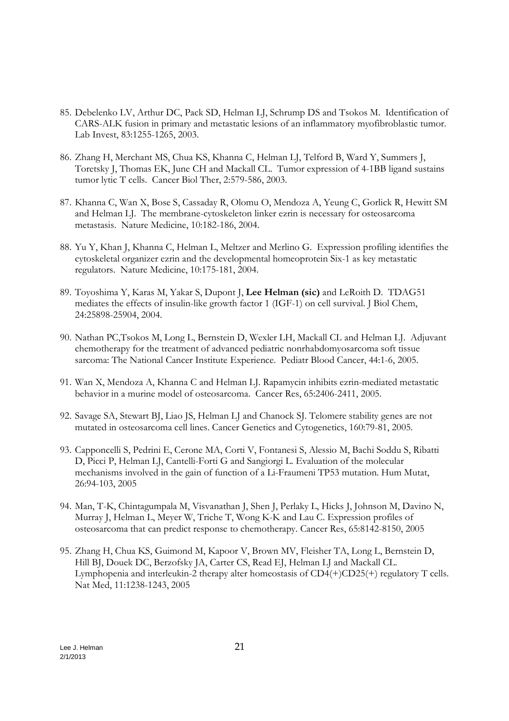- 85. Debelenko LV, Arthur DC, Pack SD, Helman LJ, Schrump DS and Tsokos M. Identification of CARS-ALK fusion in primary and metastatic lesions of an inflammatory myofibroblastic tumor. Lab Invest, 83:1255-1265, 2003.
- 86. Zhang H, Merchant MS, Chua KS, Khanna C, Helman LJ, Telford B, Ward Y, Summers J, Toretsky J, Thomas EK, June CH and Mackall CL. Tumor expression of 4-1BB ligand sustains tumor lytic T cells. Cancer Biol Ther, 2:579-586, 2003.
- 87. Khanna C, Wan X, Bose S, Cassaday R, Olomu O, Mendoza A, Yeung C, Gorlick R, Hewitt SM and Helman LJ. The membrane-cytoskeleton linker ezrin is necessary for osteosarcoma metastasis. Nature Medicine, 10:182-186, 2004.
- 88. Yu Y, Khan J, Khanna C, Helman L, Meltzer and Merlino G. Expression profiling identifies the cytoskeletal organizer ezrin and the developmental homeoprotein Six-1 as key metastatic regulators. Nature Medicine, 10:175-181, 2004.
- 89. Toyoshima Y, Karas M, Yakar S, Dupont J, **Lee Helman (sic)** and LeRoith D. TDAG51 mediates the effects of insulin-like growth factor 1 (IGF-1) on cell survival. J Biol Chem, 24:25898-25904, 2004.
- 90. Nathan PC,Tsokos M, Long L, Bernstein D, Wexler LH, Mackall CL and Helman LJ. Adjuvant chemotherapy for the treatment of advanced pediatric nonrhabdomyosarcoma soft tissue sarcoma: The National Cancer Institute Experience. Pediatr Blood Cancer, 44:1-6, 2005.
- 91. Wan X, Mendoza A, Khanna C and Helman LJ. Rapamycin inhibits ezrin-mediated metastatic behavior in a murine model of osteosarcoma. Cancer Res, 65:2406-2411, 2005.
- 92. Savage SA, Stewart BJ, Liao JS, Helman LJ and Chanock SJ. Telomere stability genes are not mutated in osteosarcoma cell lines. Cancer Genetics and Cytogenetics, 160:79-81, 2005.
- 93. Capponcelli S, Pedrini E, Cerone MA, Corti V, Fontanesi S, Alessio M, Bachi Soddu S, Ribatti D, Picci P, Helman LJ, Cantelli-Forti G and Sangiorgi L. Evaluation of the molecular mechanisms involved in the gain of function of a Li-Fraumeni TP53 mutation. Hum Mutat, 26:94-103, 2005
- 94. Man, T-K, Chintagumpala M, Visvanathan J, Shen J, Perlaky L, Hicks J, Johnson M, Davino N, Murray J, Helman L, Meyer W, Triche T, Wong K-K and Lau C. Expression profiles of osteosarcoma that can predict response to chemotherapy. Cancer Res, 65:8142-8150, 2005
- 95. Zhang H, Chua KS, Guimond M, Kapoor V, Brown MV, Fleisher TA, Long L, Bernstein D, Hill BJ, Douek DC, Berzofsky JA, Carter CS, Read EJ, Helman LJ and Mackall CL. Lymphopenia and interleukin-2 therapy alter homeostasis of CD4(+)CD25(+) regulatory T cells. Nat Med, 11:1238-1243, 2005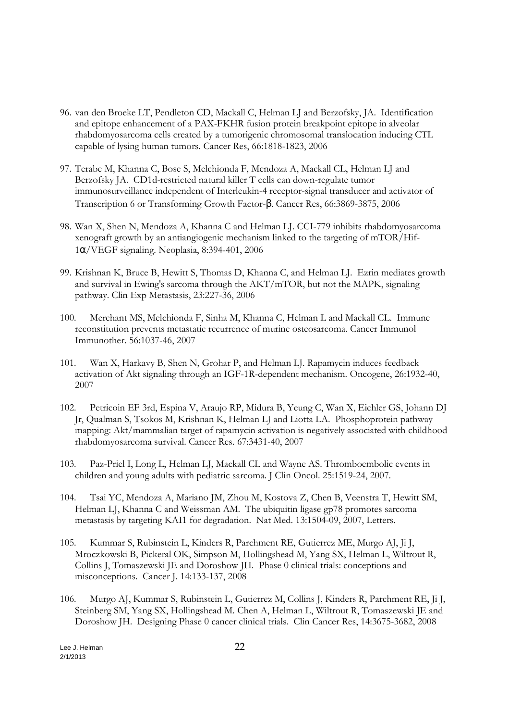- 96. van den Broeke LT, Pendleton CD, Mackall C, Helman LJ and Berzofsky, JA. Identification and epitope enhancement of a PAX-FKHR fusion protein breakpoint epitope in alveolar rhabdomyosarcoma cells created by a tumorigenic chromosomal translocation inducing CTL capable of lysing human tumors. Cancer Res, 66:1818-1823, 2006
- 97. Terabe M, Khanna C, Bose S, Melchionda F, Mendoza A, Mackall CL, Helman LJ and Berzofsky JA. CD1d-restricted natural killer T cells can down-regulate tumor immunosurveillance independent of Interleukin-4 receptor-signal transducer and activator of Transcription 6 or Transforming Growth Factor-β. Cancer Res, 66:3869-3875, 2006
- 98. Wan X, Shen N, Mendoza A, Khanna C and Helman LJ. CCI-779 inhibits rhabdomyosarcoma xenograft growth by an antiangiogenic mechanism linked to the targeting of mTOR/Hif-1α/VEGF signaling. Neoplasia, 8:394-401, 2006
- 99. Krishnan K, Bruce B, Hewitt S, Thomas D, Khanna C, and Helman LJ. Ezrin mediates growth and survival in Ewing's sarcoma through the AKT/mTOR, but not the MAPK, signaling pathway. Clin Exp Metastasis, 23:227-36, 2006
- 100. Merchant MS, Melchionda F, Sinha M, Khanna C, Helman L and Mackall CL. Immune reconstitution prevents metastatic recurrence of murine osteosarcoma. Cancer Immunol Immunother. 56:1037-46, 2007
- 101. Wan X, Harkavy B, Shen N, Grohar P, and Helman LJ. Rapamycin induces feedback activation of Akt signaling through an IGF-1R-dependent mechanism. Oncogene, 26:1932-40, 2007
- 102. Petricoin EF 3rd, Espina V, Araujo RP, Midura B, Yeung C, Wan X, Eichler GS, Johann DJ Jr, Qualman S, Tsokos M, Krishnan K, Helman LJ and Liotta LA. Phosphoprotein pathway mapping: Akt/mammalian target of rapamycin activation is negatively associated with childhood rhabdomyosarcoma survival. Cancer Res. 67:3431-40, 2007
- 103. Paz-Priel I, Long L, Helman LJ, Mackall CL and Wayne AS. Thromboembolic events in children and young adults with pediatric sarcoma. J Clin Oncol. 25:1519-24, 2007.
- 104. Tsai YC, Mendoza A, Mariano JM, Zhou M, Kostova Z, Chen B, Veenstra T, Hewitt SM, Helman LJ, Khanna C and Weissman AM. The ubiquitin ligase gp78 promotes sarcoma metastasis by targeting KAI1 for degradation. Nat Med. 13:1504-09, 2007, Letters.
- 105. Kummar S, Rubinstein L, Kinders R, Parchment RE, Gutierrez ME, Murgo AJ, Ji J, Mroczkowski B, Pickeral OK, Simpson M, Hollingshead M, Yang SX, Helman L, Wiltrout R, Collins J, Tomaszewski JE and Doroshow JH. Phase 0 clinical trials: conceptions and misconceptions. Cancer J. 14:133-137, 2008
- 106. Murgo AJ, Kummar S, Rubinstein L, Gutierrez M, Collins J, Kinders R, Parchment RE, Ji J, Steinberg SM, Yang SX, Hollingshead M. Chen A, Helman L, Wiltrout R, Tomaszewski JE and Doroshow JH. Designing Phase 0 cancer clinical trials. Clin Cancer Res, 14:3675-3682, 2008

Lee J. Helman 22 2/1/2013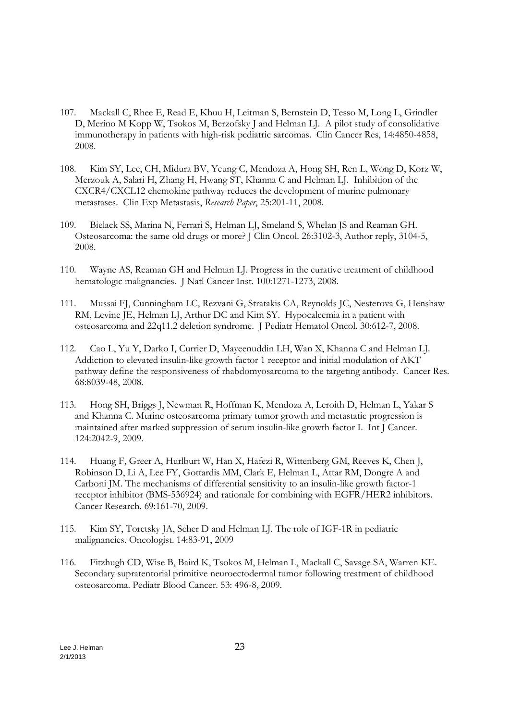- 107. Mackall C, Rhee E, Read E, Khuu H, Leitman S, Bernstein D, Tesso M, Long L, Grindler D, Merino M Kopp W, Tsokos M, Berzofsky J and Helman LJ. A pilot study of consolidative immunotherapy in patients with high-risk pediatric sarcomas. Clin Cancer Res, 14:4850-4858, 2008.
- 108. Kim SY, Lee, CH, Midura BV, Yeung C, Mendoza A, Hong SH, Ren L, Wong D, Korz W, Merzouk A, Salari H, Zhang H, Hwang ST, Khanna C and Helman LJ. Inhibition of the CXCR4/CXCL12 chemokine pathway reduces the development of murine pulmonary metastases. Clin Exp Metastasis, *Research Paper*, 25:201-11, 2008.
- 109. Bielack SS, Marina N, Ferrari S, Helman LJ, Smeland S, Whelan JS and Reaman GH. Osteosarcoma: the same old drugs or more? J Clin Oncol. 26:3102-3, Author reply, 3104-5, 2008.
- 110. Wayne AS, Reaman GH and Helman LJ. Progress in the curative treatment of childhood hematologic malignancies. J Natl Cancer Inst. 100:1271-1273, 2008.
- 111. Mussai FJ, Cunningham LC, Rezvani G, Stratakis CA, Reynolds JC, Nesterova G, Henshaw RM, Levine JE, Helman LJ, Arthur DC and Kim SY. Hypocalcemia in a patient with osteosarcoma and 22q11.2 deletion syndrome. J Pediatr Hematol Oncol. 30:612-7, 2008.
- 112. Cao L, Yu Y, Darko I, Currier D, Mayeenuddin LH, Wan X, Khanna C and Helman LJ. Addiction to elevated insulin-like growth factor 1 receptor and initial modulation of AKT pathway define the responsiveness of rhabdomyosarcoma to the targeting antibody. Cancer Res. 68:8039-48, 2008.
- 113. Hong SH, Briggs J, Newman R, Hoffman K, Mendoza A, Leroith D, Helman L, Yakar S and Khanna C. Murine osteosarcoma primary tumor growth and metastatic progression is maintained after marked suppression of serum insulin-like growth factor I. Int J Cancer. 124:2042-9, 2009.
- 114. Huang F, Greer A, Hurlburt W, Han X, Hafezi R, Wittenberg GM, Reeves K, Chen J, Robinson D, Li A, Lee FY, Gottardis MM, Clark E, Helman L, Attar RM, Dongre A and Carboni JM. The mechanisms of differential sensitivity to an insulin-like growth factor-1 receptor inhibitor (BMS-536924) and rationale for combining with EGFR/HER2 inhibitors. Cancer Research. 69:161-70, 2009.
- 115. Kim SY, Toretsky JA, Scher D and Helman LJ. The role of IGF-1R in pediatric malignancies. Oncologist. 14:83-91, 2009
- 116. Fitzhugh CD, Wise B, Baird K, Tsokos M, Helman L, Mackall C, Savage SA, Warren KE. Secondary supratentorial primitive neuroectodermal tumor following treatment of childhood osteosarcoma. Pediatr Blood Cancer. 53: 496-8, 2009.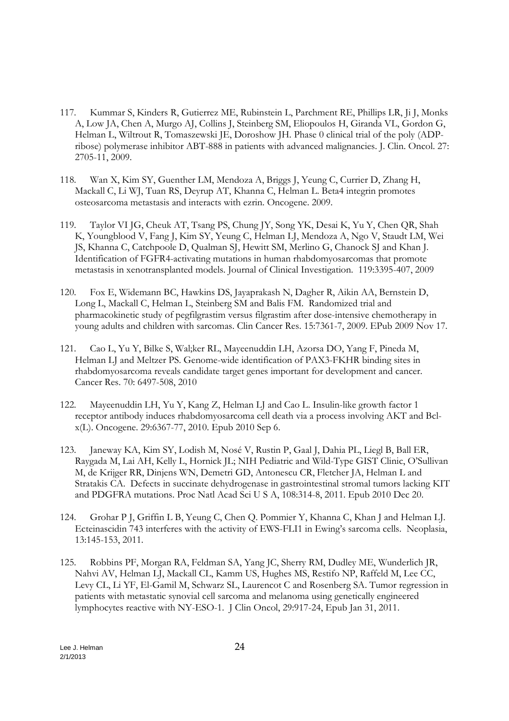- 117. Kummar S, Kinders R, Gutierrez ME, Rubinstein L, Parchment RE, Phillips LR, Ji J, Monks A, Low JA, Chen A, Murgo AJ, Collins J, Steinberg SM, Eliopoulos H, Giranda VL, Gordon G, Helman L, Wiltrout R, Tomaszewski JE, Doroshow JH. Phase 0 clinical trial of the poly (ADPribose) polymerase inhibitor ABT-888 in patients with advanced malignancies. J. Clin. Oncol. 27: 2705-11, 2009.
- 118. Wan X, Kim SY, Guenther LM, Mendoza A, Briggs J, Yeung C, Currier D, Zhang H, Mackall C, Li WJ, Tuan RS, Deyrup AT, Khanna C, Helman L. Beta4 integrin promotes osteosarcoma metastasis and interacts with ezrin. Oncogene. 2009.
- 119. Taylor VI JG, Cheuk AT, Tsang PS, Chung JY, Song YK, Desai K, Yu Y, Chen QR, Shah K, Youngblood V, Fang J, Kim SY, Yeung C, Helman LJ, Mendoza A, Ngo V, Staudt LM, Wei JS, Khanna C, Catchpoole D, Qualman SJ, Hewitt SM, Merlino G, Chanock SJ and Khan J. Identification of FGFR4-activating mutations in human rhabdomyosarcomas that promote metastasis in xenotransplanted models. Journal of Clinical Investigation. 119:3395-407, 2009
- 120. Fox E, Widemann BC, Hawkins DS, Jayaprakash N, Dagher R, Aikin AA, Bernstein D, Long L, Mackall C, Helman L, Steinberg SM and Balis FM. Randomized trial and pharmacokinetic study of pegfilgrastim versus filgrastim after dose-intensive chemotherapy in young adults and children with sarcomas. Clin Cancer Res. 15:7361-7, 2009. EPub 2009 Nov 17.
- 121. Cao L, Yu Y, Bilke S, Wal;ker RL, Mayeenuddin LH, Azorsa DO, Yang F, Pineda M, Helman LJ and Meltzer PS. Genome-wide identification of PAX3-FKHR binding sites in rhabdomyosarcoma reveals candidate target genes important for development and cancer. Cancer Res. 70: 6497-508, 2010
- 122. Mayeenuddin LH, Yu Y, Kang Z, Helman LJ and Cao L. Insulin-like growth factor 1 receptor antibody induces rhabdomyosarcoma cell death via a process involving AKT and Bclx(L). Oncogene. 29:6367-77, 2010. Epub 2010 Sep 6.
- 123. Janeway KA, Kim SY, Lodish M, Nosé V, Rustin P, Gaal J, Dahia PL, Liegl B, Ball ER, Raygada M, Lai AH, Kelly L, Hornick JL; NIH Pediatric and Wild-Type GIST Clinic, O'Sullivan M, de Krijger RR, Dinjens WN, Demetri GD, Antonescu CR, Fletcher JA, Helman L and Stratakis CA. Defects in succinate dehydrogenase in gastrointestinal stromal tumors lacking KIT and PDGFRA mutations. Proc Natl Acad Sci U S A, 108:314-8, 2011. Epub 2010 Dec 20.
- 124. Grohar P J, Griffin L B, Yeung C, Chen Q. Pommier Y, Khanna C, Khan J and Helman LJ. Ecteinascidin 743 interferes with the activity of EWS-FLI1 in Ewing's sarcoma cells. Neoplasia, 13:145-153, 2011.
- 125. Robbins PF, Morgan RA, Feldman SA, Yang JC, Sherry RM, Dudley ME, Wunderlich JR, Nahvi AV, Helman LJ, Mackall CL, Kamm US, Hughes MS, Restifo NP, Raffeld M, Lee CC, Levy CL, Li YF, El-Gamil M, Schwarz SL, Laurencot C and Rosenberg SA. Tumor regression in patients with metastatic synovial cell sarcoma and melanoma using genetically engineered lymphocytes reactive with NY-ESO-1. J Clin Oncol, 29:917-24, Epub Jan 31, 2011.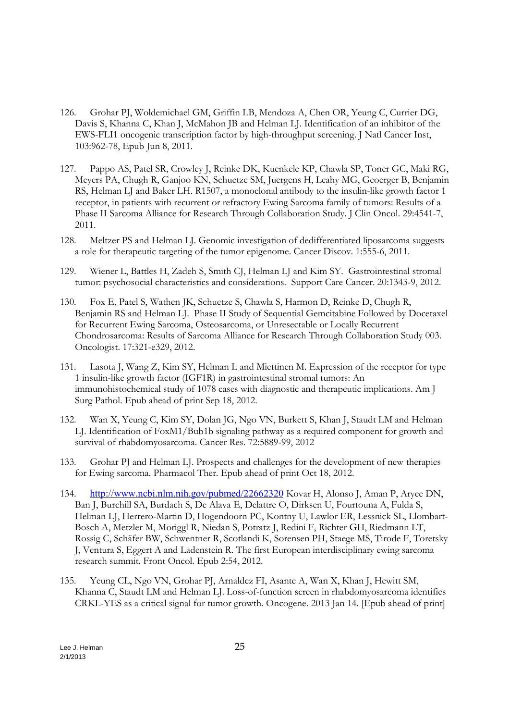- 126. Grohar PJ, Woldemichael GM, Griffin LB, Mendoza A, Chen OR, Yeung C, Currier DG, Davis S, Khanna C, Khan J, McMahon JB and Helman LJ. Identification of an inhibitor of the EWS-FLI1 oncogenic transcription factor by high-throughput screening. J Natl Cancer Inst, 103:962-78, Epub Jun 8, 2011.
- 127. Pappo AS, Patel SR, Crowley J, Reinke DK, Kuenkele KP, Chawla SP, Toner GC, Maki RG, Meyers PA, Chugh R, Ganjoo KN, Schuetze SM, Juergens H, Leahy MG, Geoerger B, Benjamin RS, Helman LJ and Baker LH. R1507, a monoclonal antibody to the insulin-like growth factor 1 receptor, in patients with recurrent or refractory Ewing Sarcoma family of tumors: Results of a Phase II Sarcoma Alliance for Research Through Collaboration Study. J Clin Oncol. 29:4541-7, 2011.
- 128. Meltzer PS and Helman LJ. Genomic investigation of dedifferentiated liposarcoma suggests a role for therapeutic targeting of the tumor epigenome. Cancer Discov. 1:555-6, 2011.
- 129. Wiener L, Battles H, Zadeh S, Smith CJ, Helman LJ and Kim SY. Gastrointestinal stromal tumor: psychosocial characteristics and considerations. Support Care Cancer. 20:1343-9, 2012.
- 130. Fox E, Patel S, Wathen JK, Schuetze S, Chawla S, Harmon D, Reinke D, Chugh R, Benjamin RS and Helman LJ. Phase II Study of Sequential Gemcitabine Followed by Docetaxel for Recurrent Ewing Sarcoma, Osteosarcoma, or Unresectable or Locally Recurrent Chondrosarcoma: Results of Sarcoma Alliance for Research Through Collaboration Study 003. Oncologist. 17:321-e329, 2012.
- 131. Lasota J, Wang Z, Kim SY, Helman L and Miettinen M. Expression of the receptor for type 1 insulin-like growth factor (IGF1R) in gastrointestinal stromal tumors: An immunohistochemical study of 1078 cases with diagnostic and therapeutic implications. Am J Surg Pathol. Epub ahead of print Sep 18, 2012.
- 132. Wan X, Yeung C, Kim SY, Dolan JG, Ngo VN, Burkett S, Khan J, Staudt LM and Helman LJ. Identification of FoxM1/Bub1b signaling pathway as a required component for growth and survival of rhabdomyosarcoma. Cancer Res. 72:5889-99, 2012
- 133. Grohar PJ and Helman LJ. Prospects and challenges for the development of new therapies for Ewing sarcoma. Pharmacol Ther. Epub ahead of print Oct 18, 2012.
- 134. http://www.ncbi.nlm.nih.gov/pubmed/22662320 Kovar H, Alonso J, Aman P, Aryee DN, Ban J, Burchill SA, Burdach S, De Alava E, Delattre O, Dirksen U, Fourtouna A, Fulda S, Helman LJ, Herrero-Martin D, Hogendoorn PC, Kontny U, Lawlor ER, Lessnick SL, Llombart-Bosch A, Metzler M, Moriggl R, Niedan S, Potratz J, Redini F, Richter GH, Riedmann LT, Rossig C, Schäfer BW, Schwentner R, Scotlandi K, Sorensen PH, Staege MS, Tirode F, Toretsky J, Ventura S, Eggert A and Ladenstein R. The first European interdisciplinary ewing sarcoma research summit. Front Oncol. Epub 2:54, 2012.
- 135. Yeung CL, Ngo VN, Grohar PJ, Arnaldez FI, Asante A, Wan X, Khan J, Hewitt SM, Khanna C, Staudt LM and Helman LJ. Loss-of-function screen in rhabdomyosarcoma identifies CRKL-YES as a critical signal for tumor growth. Oncogene. 2013 Jan 14. [Epub ahead of print]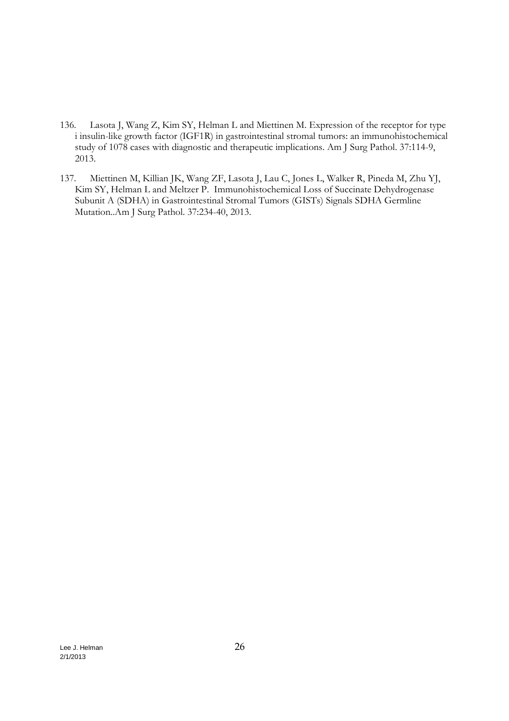- 136. Lasota J, Wang Z, Kim SY, Helman L and Miettinen M. Expression of the receptor for type i insulin-like growth factor (IGF1R) in gastrointestinal stromal tumors: an immunohistochemical study of 1078 cases with diagnostic and therapeutic implications. Am J Surg Pathol. 37:114-9, 2013.
- 137. Miettinen M, Killian JK, Wang ZF, Lasota J, Lau C, Jones L, Walker R, Pineda M, Zhu YJ, Kim SY, Helman L and Meltzer P. Immunohistochemical Loss of Succinate Dehydrogenase Subunit A (SDHA) in Gastrointestinal Stromal Tumors (GISTs) Signals SDHA Germline Mutation..Am J Surg Pathol. 37:234-40, 2013.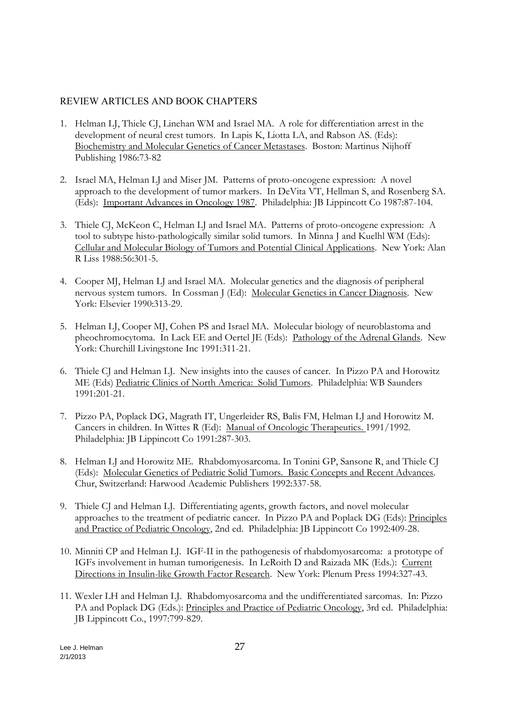# REVIEW ARTICLES AND BOOK CHAPTERS

- 1. Helman LJ, Thiele CJ, Linehan WM and Israel MA. A role for differentiation arrest in the development of neural crest tumors. In Lapis K, Liotta LA, and Rabson AS. (Eds): Biochemistry and Molecular Genetics of Cancer Metastases. Boston: Martinus Nijhoff Publishing 1986:73-82
- 2. Israel MA, Helman LJ and Miser JM. Patterns of proto-oncogene expression: A novel approach to the development of tumor markers. In DeVita VT, Hellman S, and Rosenberg SA. (Eds): Important Advances in Oncology 1987. Philadelphia: JB Lippincott Co 1987:87-104.
- 3. Thiele CJ, McKeon C, Helman LJ and Israel MA. Patterns of proto-oncogene expression: A tool to subtype histo-pathologically similar solid tumors. In Minna J and Kuelhl WM (Eds): Cellular and Molecular Biology of Tumors and Potential Clinical Applications. New York: Alan R Liss 1988:56:301-5.
- 4. Cooper MJ, Helman LJ and Israel MA. Molecular genetics and the diagnosis of peripheral nervous system tumors. In Cossman J (Ed): Molecular Genetics in Cancer Diagnosis. New York: Elsevier 1990:313-29.
- 5. Helman LJ, Cooper MJ, Cohen PS and Israel MA. Molecular biology of neuroblastoma and pheochromocytoma. In Lack EE and Oertel JE (Eds): Pathology of the Adrenal Glands. New York: Churchill Livingstone Inc 1991:311-21.
- 6. Thiele CJ and Helman LJ. New insights into the causes of cancer. In Pizzo PA and Horowitz ME (Eds) Pediatric Clinics of North America: Solid Tumors. Philadelphia: WB Saunders 1991:201-21.
- 7. Pizzo PA, Poplack DG, Magrath IT, Ungerleider RS, Balis FM, Helman LJ and Horowitz M. Cancers in children. In Wittes R (Ed): Manual of Oncologic Therapeutics. 1991/1992. Philadelphia: JB Lippincott Co 1991:287-303.
- 8. Helman LJ and Horowitz ME. Rhabdomyosarcoma. In Tonini GP, Sansone R, and Thiele CJ (Eds): Molecular Genetics of Pediatric Solid Tumors. Basic Concepts and Recent Advances. Chur, Switzerland: Harwood Academic Publishers 1992:337-58.
- 9. Thiele CJ and Helman LJ. Differentiating agents, growth factors, and novel molecular approaches to the treatment of pediatric cancer. In Pizzo PA and Poplack DG (Eds): Principles and Practice of Pediatric Oncology, 2nd ed. Philadelphia: JB Lippincott Co 1992:409-28.
- 10. Minniti CP and Helman LJ. IGF-II in the pathogenesis of rhabdomyosarcoma: a prototype of IGFs involvement in human tumorigenesis. In LeRoith D and Raizada MK (Eds.): Current Directions in Insulin-like Growth Factor Research. New York: Plenum Press 1994:327-43.
- 11. Wexler LH and Helman LJ. Rhabdomyosarcoma and the undifferentiated sarcomas. In: Pizzo PA and Poplack DG (Eds.): Principles and Practice of Pediatric Oncology, 3rd ed. Philadelphia: JB Lippincott Co., 1997:799-829.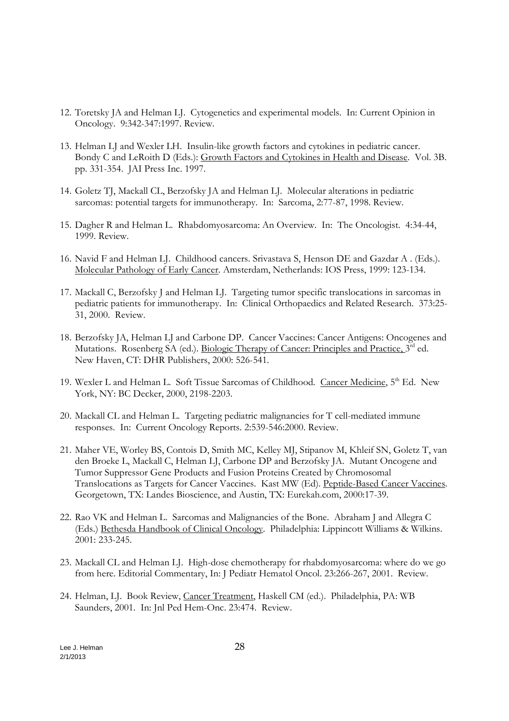- 12. Toretsky JA and Helman LJ. Cytogenetics and experimental models. In: Current Opinion in Oncology. 9:342-347:1997. Review.
- 13. Helman LJ and Wexler LH. Insulin-like growth factors and cytokines in pediatric cancer. Bondy C and LeRoith D (Eds.): Growth Factors and Cytokines in Health and Disease. Vol. 3B. pp. 331-354. JAI Press Inc. 1997.
- 14. Goletz TJ, Mackall CL, Berzofsky JA and Helman LJ. Molecular alterations in pediatric sarcomas: potential targets for immunotherapy. In: Sarcoma, 2:77-87, 1998. Review.
- 15. Dagher R and Helman L. Rhabdomyosarcoma: An Overview. In: The Oncologist. 4:34-44, 1999. Review.
- 16. Navid F and Helman LJ. Childhood cancers. Srivastava S, Henson DE and Gazdar A . (Eds.). Molecular Pathology of Early Cancer. Amsterdam, Netherlands: IOS Press, 1999: 123-134.
- 17. Mackall C, Berzofsky J and Helman LJ. Targeting tumor specific translocations in sarcomas in pediatric patients for immunotherapy. In: Clinical Orthopaedics and Related Research. 373:25- 31, 2000. Review.
- 18. Berzofsky JA, Helman LJ and Carbone DP. Cancer Vaccines: Cancer Antigens: Oncogenes and Mutations. Rosenberg SA (ed.). Biologic Therapy of Cancer: Principles and Practice, 3<sup>rd</sup> ed. New Haven, CT: DHR Publishers, 2000: 526-541.
- 19. Wexler L and Helman L. Soft Tissue Sarcomas of Childhood. Cancer Medicine, 5<sup>th</sup> Ed. New York, NY: BC Decker, 2000, 2198-2203.
- 20. Mackall CL and Helman L. Targeting pediatric malignancies for T cell-mediated immune responses. In: Current Oncology Reports. 2:539-546:2000. Review.
- 21. Maher VE, Worley BS, Contois D, Smith MC, Kelley MJ, Stipanov M, Khleif SN, Goletz T, van den Broeke L, Mackall C, Helman LJ, Carbone DP and Berzofsky JA. Mutant Oncogene and Tumor Suppressor Gene Products and Fusion Proteins Created by Chromosomal Translocations as Targets for Cancer Vaccines. Kast MW (Ed). Peptide-Based Cancer Vaccines. Georgetown, TX: Landes Bioscience, and Austin, TX: Eurekah.com, 2000:17-39.
- 22. Rao VK and Helman L. Sarcomas and Malignancies of the Bone. Abraham J and Allegra C (Eds.) Bethesda Handbook of Clinical Oncology. Philadelphia: Lippincott Williams & Wilkins. 2001: 233-245.
- 23. Mackall CL and Helman LJ. High-dose chemotherapy for rhabdomyosarcoma: where do we go from here. Editorial Commentary, In: J Pediatr Hematol Oncol. 23:266-267, 2001. Review.
- 24. Helman, LJ. Book Review, Cancer Treatment, Haskell CM (ed.). Philadelphia, PA: WB Saunders, 2001. In: Jnl Ped Hem-Onc. 23:474. Review.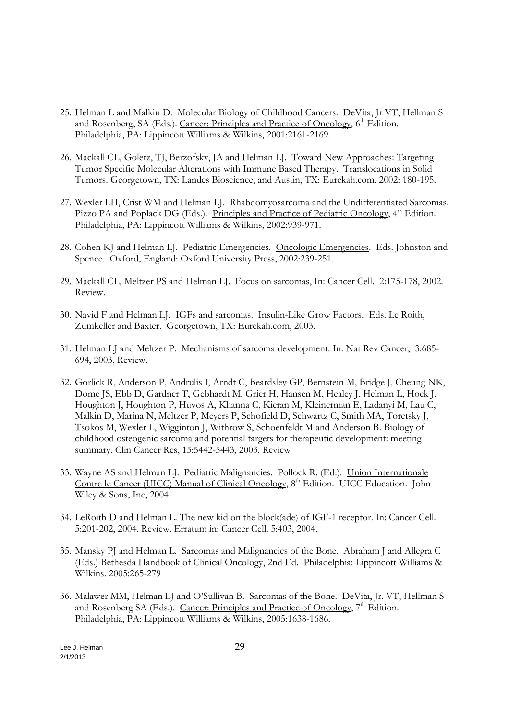- 25. Helman L and Malkin D. Molecular Biology of Childhood Cancers. DeVita, Jr VT, Hellman S and Rosenberg, SA (Eds.). Cancer: Principles and Practice of Oncology, 6<sup>th</sup> Edition. Philadelphia, PA: Lippincott Williams & Wilkins, 2001:2161-2169.
- 26. Mackall CL, Goletz, TJ, Berzofsky, JA and Helman LJ. Toward New Approaches: Targeting Tumor Specific Molecular Alterations with Immune Based Therapy. Translocations in Solid Tumors. Georgetown, TX: Landes Bioscience, and Austin, TX: Eurekah.com. 2002: 180-195.
- 27. Wexler LH, Crist WM and Helman LJ. Rhabdomyosarcoma and the Undifferentiated Sarcomas. Pizzo PA and Poplack DG (Eds.). Principles and Practice of Pediatric Oncology, 4<sup>th</sup> Edition. Philadelphia, PA: Lippincott Williams & Wilkins, 2002:939-971.
- 28. Cohen KJ and Helman LJ. Pediatric Emergencies. Oncologic Emergencies. Eds. Johnston and Spence. Oxford, England: Oxford University Press, 2002:239-251.
- 29. Mackall CL, Meltzer PS and Helman LJ. Focus on sarcomas, In: Cancer Cell. 2:175-178, 2002. Review.
- 30. Navid F and Helman LJ. IGFs and sarcomas. Insulin-Like Grow Factors. Eds. Le Roith, Zumkeller and Baxter. Georgetown, TX: Eurekah.com, 2003.
- 31. Helman LJ and Meltzer P. Mechanisms of sarcoma development. In: Nat Rev Cancer, 3:685- 694, 2003, Review.
- 32. Gorlick R, Anderson P, Andrulis I, Arndt C, Beardsley GP, Bernstein M, Bridge J, Cheung NK, Dome JS, Ebb D, Gardner T, Gebhardt M, Grier H, Hansen M, Healey J, Helman L, Hock J, Houghton J, Houghton P, Huvos A, Khanna C, Kieran M, Kleinerman E, Ladanyi M, Lau C, Malkin D, Marina N, Meltzer P, Meyers P, Schofield D, Schwartz C, Smith MA, Toretsky J, Tsokos M, Wexler L, Wigginton J, Withrow S, Schoenfeldt M and Anderson B. Biology of childhood osteogenic sarcoma and potential targets for therapeutic development: meeting summary. Clin Cancer Res, 15:5442-5443, 2003. Review
- 33. Wayne AS and Helman LJ. Pediatric Malignancies. Pollock R. (Ed.). Union Internationale Contre le Cancer (UICC) Manual of Clinical Oncology,  $8<sup>th</sup>$  Edition. UICC Education. John Wiley & Sons, Inc, 2004.
- 34. LeRoith D and Helman L. The new kid on the block(ade) of IGF-1 receptor. In: Cancer Cell. 5:201-202, 2004. Review. Erratum in: Cancer Cell. 5:403, 2004.
- 35. Mansky PJ and Helman L. Sarcomas and Malignancies of the Bone. Abraham J and Allegra C (Eds.) Bethesda Handbook of Clinical Oncology, 2nd Ed. Philadelphia: Lippincott Williams & Wilkins. 2005:265-279
- 36. Malawer MM, Helman LJ and O'Sullivan B. Sarcomas of the Bone. DeVita, Jr. VT, Hellman S and Rosenberg SA (Eds.). Cancer: Principles and Practice of Oncology,  $7<sup>th</sup>$  Edition. Philadelphia, PA: Lippincott Williams & Wilkins, 2005:1638-1686.

Lee J. Helman 29 2/1/2013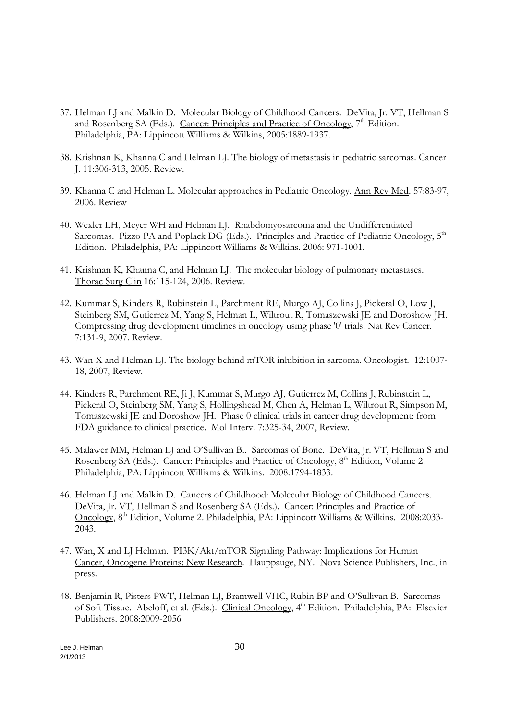- 37. Helman LJ and Malkin D. Molecular Biology of Childhood Cancers. DeVita, Jr. VT, Hellman S and Rosenberg SA (Eds.). Cancer: Principles and Practice of Oncology, 7<sup>th</sup> Edition. Philadelphia, PA: Lippincott Williams & Wilkins, 2005:1889-1937.
- 38. Krishnan K, Khanna C and Helman LJ. The biology of metastasis in pediatric sarcomas. Cancer J. 11:306-313, 2005. Review.
- 39. Khanna C and Helman L. Molecular approaches in Pediatric Oncology. Ann Rev Med. 57:83-97, 2006. Review
- 40. Wexler LH, Meyer WH and Helman LJ. Rhabdomyosarcoma and the Undifferentiated Sarcomas. Pizzo PA and Poplack DG (Eds.). Principles and Practice of Pediatric Oncology, 5<sup>th</sup> Edition. Philadelphia, PA: Lippincott Williams & Wilkins. 2006: 971-1001.
- 41. Krishnan K, Khanna C, and Helman LJ. The molecular biology of pulmonary metastases. Thorac Surg Clin 16:115-124, 2006. Review.
- 42. Kummar S, Kinders R, Rubinstein L, Parchment RE, Murgo AJ, Collins J, Pickeral O, Low J, Steinberg SM, Gutierrez M, Yang S, Helman L, Wiltrout R, Tomaszewski JE and Doroshow JH. Compressing drug development timelines in oncology using phase '0' trials. Nat Rev Cancer. 7:131-9, 2007. Review.
- 43. Wan X and Helman LJ. The biology behind mTOR inhibition in sarcoma. Oncologist. 12:1007- 18, 2007, Review.
- 44. Kinders R, Parchment RE, Ji J, Kummar S, Murgo AJ, Gutierrez M, Collins J, Rubinstein L, Pickeral O, Steinberg SM, Yang S, Hollingshead M, Chen A, Helman L, Wiltrout R, Simpson M, Tomaszewski JE and Doroshow JH. Phase 0 clinical trials in cancer drug development: from FDA guidance to clinical practice. Mol Interv. 7:325-34, 2007, Review.
- 45. Malawer MM, Helman LJ and O'Sullivan B.. Sarcomas of Bone. DeVita, Jr. VT, Hellman S and Rosenberg SA (Eds.). Cancer: Principles and Practice of Oncology, 8<sup>th</sup> Edition, Volume 2. Philadelphia, PA: Lippincott Williams & Wilkins. 2008:1794-1833.
- 46. Helman LJ and Malkin D. Cancers of Childhood: Molecular Biology of Childhood Cancers. DeVita, Jr. VT, Hellman S and Rosenberg SA (Eds.). Cancer: Principles and Practice of Oncology, 8<sup>th</sup> Edition, Volume 2. Philadelphia, PA: Lippincott Williams & Wilkins. 2008:2033-2043.
- 47. Wan, X and LJ Helman. PI3K/Akt/mTOR Signaling Pathway: Implications for Human Cancer, Oncogene Proteins: New Research. Hauppauge, NY. Nova Science Publishers, Inc., in press.
- 48. Benjamin R, Pisters PWT, Helman LJ, Bramwell VHC, Rubin BP and O'Sullivan B. Sarcomas of Soft Tissue. Abeloff, et al. (Eds.). Clinical Oncology, 4th Edition. Philadelphia, PA: Elsevier Publishers. 2008:2009-2056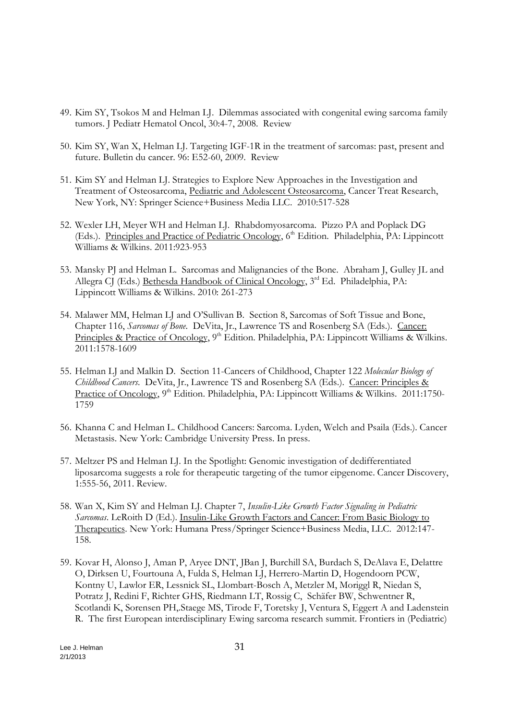- 49. Kim SY, Tsokos M and Helman LJ. Dilemmas associated with congenital ewing sarcoma family tumors. J Pediatr Hematol Oncol, 30:4-7, 2008. Review
- 50. Kim SY, Wan X, Helman LJ. Targeting IGF-1R in the treatment of sarcomas: past, present and future. Bulletin du cancer. 96: E52-60, 2009. Review
- 51. Kim SY and Helman LJ. Strategies to Explore New Approaches in the Investigation and Treatment of Osteosarcoma, Pediatric and Adolescent Osteosarcoma, Cancer Treat Research, New York, NY: Springer Science+Business Media LLC. 2010:517-528
- 52. Wexler LH, Meyer WH and Helman LJ. Rhabdomyosarcoma. Pizzo PA and Poplack DG (Eds.). Principles and Practice of Pediatric Oncology, 6<sup>th</sup> Edition. Philadelphia, PA: Lippincott Williams & Wilkins. 2011:923-953
- 53. Mansky PJ and Helman L. Sarcomas and Malignancies of the Bone. Abraham J, Gulley JL and Allegra CJ (Eds.) Bethesda Handbook of Clinical Oncology, 3<sup>rd</sup> Ed. Philadelphia, PA: Lippincott Williams & Wilkins. 2010: 261-273
- 54. Malawer MM, Helman LJ and O'Sullivan B. Section 8, Sarcomas of Soft Tissue and Bone, Chapter 116, *Sarcomas of Bone*. DeVita, Jr., Lawrence TS and Rosenberg SA (Eds.). Cancer: Principles & Practice of Oncology, 9<sup>th</sup> Edition. Philadelphia, PA: Lippincott Williams & Wilkins. 2011:1578-1609
- 55. Helman LJ and Malkin D. Section 11-Cancers of Childhood, Chapter 122 *Molecular Biology of Childhood Cancers*. DeVita, Jr., Lawrence TS and Rosenberg SA (Eds.). Cancer: Principles & Practice of Oncology, 9<sup>th</sup> Edition. Philadelphia, PA: Lippincott Williams & Wilkins. 2011:1750-1759
- 56. Khanna C and Helman L. Childhood Cancers: Sarcoma. Lyden, Welch and Psaila (Eds.). Cancer Metastasis. New York: Cambridge University Press. In press.
- 57. Meltzer PS and Helman LJ. In the Spotlight: Genomic investigation of dedifferentiated liposarcoma suggests a role for therapeutic targeting of the tumor eipgenome. Cancer Discovery, 1:555-56, 2011. Review.
- 58. Wan X, Kim SY and Helman LJ. Chapter 7, *Insulin-Like Growth Factor Signaling in Pediatric Sarcomas*. LeRoith D (Ed.). Insulin-Like Growth Factors and Cancer: From Basic Biology to Therapeutics. New York: Humana Press/Springer Science+Business Media, LLC. 2012:147- 158.
- 59. Kovar H, Alonso J, Aman P, Aryee DNT, JBan J, Burchill SA, Burdach S, DeAlava E, Delattre O, Dirksen U, Fourtouna A, Fulda S, Helman LJ, Herrero-Martin D, Hogendoorn PCW, Kontny U, Lawlor ER, Lessnick SL, Llombart-Bosch A, Metzler M, Moriggl R, Niedan S, Potratz J, Redini F, Richter GHS, Riedmann LT, Rossig C, Schäfer BW, Schwentner R, Scotlandi K, Sorensen PH,.Staege MS, Tirode F, Toretsky J, Ventura S, Eggert A and Ladenstein R. The first European interdisciplinary Ewing sarcoma research summit. Frontiers in (Pediatric)